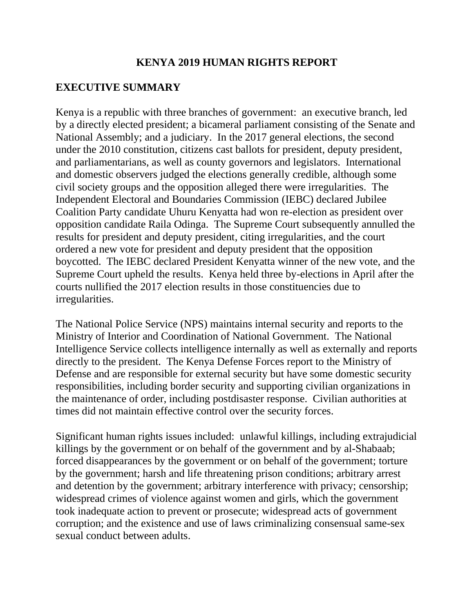## **KENYA 2019 HUMAN RIGHTS REPORT**

#### **EXECUTIVE SUMMARY**

Kenya is a republic with three branches of government: an executive branch, led by a directly elected president; a bicameral parliament consisting of the Senate and National Assembly; and a judiciary. In the 2017 general elections, the second under the 2010 constitution, citizens cast ballots for president, deputy president, and parliamentarians, as well as county governors and legislators. International and domestic observers judged the elections generally credible, although some civil society groups and the opposition alleged there were irregularities. The Independent Electoral and Boundaries Commission (IEBC) declared Jubilee Coalition Party candidate Uhuru Kenyatta had won re-election as president over opposition candidate Raila Odinga. The Supreme Court subsequently annulled the results for president and deputy president, citing irregularities, and the court ordered a new vote for president and deputy president that the opposition boycotted. The IEBC declared President Kenyatta winner of the new vote, and the Supreme Court upheld the results. Kenya held three by-elections in April after the courts nullified the 2017 election results in those constituencies due to irregularities.

The National Police Service (NPS) maintains internal security and reports to the Ministry of Interior and Coordination of National Government. The National Intelligence Service collects intelligence internally as well as externally and reports directly to the president. The Kenya Defense Forces report to the Ministry of Defense and are responsible for external security but have some domestic security responsibilities, including border security and supporting civilian organizations in the maintenance of order, including postdisaster response. Civilian authorities at times did not maintain effective control over the security forces.

Significant human rights issues included: unlawful killings, including extrajudicial killings by the government or on behalf of the government and by al-Shabaab; forced disappearances by the government or on behalf of the government; torture by the government; harsh and life threatening prison conditions; arbitrary arrest and detention by the government; arbitrary interference with privacy; censorship; widespread crimes of violence against women and girls, which the government took inadequate action to prevent or prosecute; widespread acts of government corruption; and the existence and use of laws criminalizing consensual same-sex sexual conduct between adults.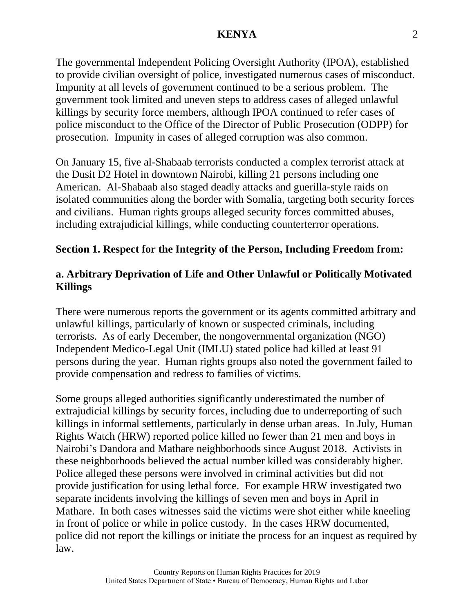The governmental Independent Policing Oversight Authority (IPOA), established to provide civilian oversight of police, investigated numerous cases of misconduct. Impunity at all levels of government continued to be a serious problem. The government took limited and uneven steps to address cases of alleged unlawful killings by security force members, although IPOA continued to refer cases of police misconduct to the Office of the Director of Public Prosecution (ODPP) for prosecution. Impunity in cases of alleged corruption was also common.

On January 15, five al-Shabaab terrorists conducted a complex terrorist attack at the Dusit D2 Hotel in downtown Nairobi, killing 21 persons including one American. Al-Shabaab also staged deadly attacks and guerilla-style raids on isolated communities along the border with Somalia, targeting both security forces and civilians. Human rights groups alleged security forces committed abuses, including extrajudicial killings, while conducting counterterror operations.

#### **Section 1. Respect for the Integrity of the Person, Including Freedom from:**

## **a. Arbitrary Deprivation of Life and Other Unlawful or Politically Motivated Killings**

There were numerous reports the government or its agents committed arbitrary and unlawful killings, particularly of known or suspected criminals, including terrorists. As of early December, the nongovernmental organization (NGO) Independent Medico-Legal Unit (IMLU) stated police had killed at least 91 persons during the year. Human rights groups also noted the government failed to provide compensation and redress to families of victims.

Some groups alleged authorities significantly underestimated the number of extrajudicial killings by security forces, including due to underreporting of such killings in informal settlements, particularly in dense urban areas. In July, Human Rights Watch (HRW) reported police killed no fewer than 21 men and boys in Nairobi's Dandora and Mathare neighborhoods since August 2018. Activists in these neighborhoods believed the actual number killed was considerably higher. Police alleged these persons were involved in criminal activities but did not provide justification for using lethal force. For example HRW investigated two separate incidents involving the killings of seven men and boys in April in Mathare. In both cases witnesses said the victims were shot either while kneeling in front of police or while in police custody. In the cases HRW documented, police did not report the killings or initiate the process for an inquest as required by law.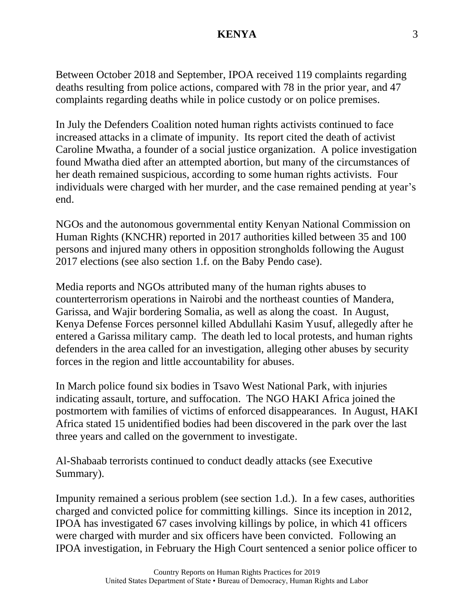Between October 2018 and September, IPOA received 119 complaints regarding deaths resulting from police actions, compared with 78 in the prior year, and 47 complaints regarding deaths while in police custody or on police premises.

In July the Defenders Coalition noted human rights activists continued to face increased attacks in a climate of impunity. Its report cited the death of activist Caroline Mwatha, a founder of a social justice organization. A police investigation found Mwatha died after an attempted abortion, but many of the circumstances of her death remained suspicious, according to some human rights activists. Four individuals were charged with her murder, and the case remained pending at year's end.

NGOs and the autonomous governmental entity Kenyan National Commission on Human Rights (KNCHR) reported in 2017 authorities killed between 35 and 100 persons and injured many others in opposition strongholds following the August 2017 elections (see also section 1.f. on the Baby Pendo case).

Media reports and NGOs attributed many of the human rights abuses to counterterrorism operations in Nairobi and the northeast counties of Mandera, Garissa, and Wajir bordering Somalia, as well as along the coast. In August, Kenya Defense Forces personnel killed Abdullahi Kasim Yusuf, allegedly after he entered a Garissa military camp. The death led to local protests, and human rights defenders in the area called for an investigation, alleging other abuses by security forces in the region and little accountability for abuses.

In March police found six bodies in Tsavo West National Park, with injuries indicating assault, torture, and suffocation. The NGO HAKI Africa joined the postmortem with families of victims of enforced disappearances. In August, HAKI Africa stated 15 unidentified bodies had been discovered in the park over the last three years and called on the government to investigate.

Al-Shabaab terrorists continued to conduct deadly attacks (see Executive Summary).

Impunity remained a serious problem (see section 1.d.). In a few cases, authorities charged and convicted police for committing killings. Since its inception in 2012, IPOA has investigated 67 cases involving killings by police, in which 41 officers were charged with murder and six officers have been convicted. Following an IPOA investigation, in February the High Court sentenced a senior police officer to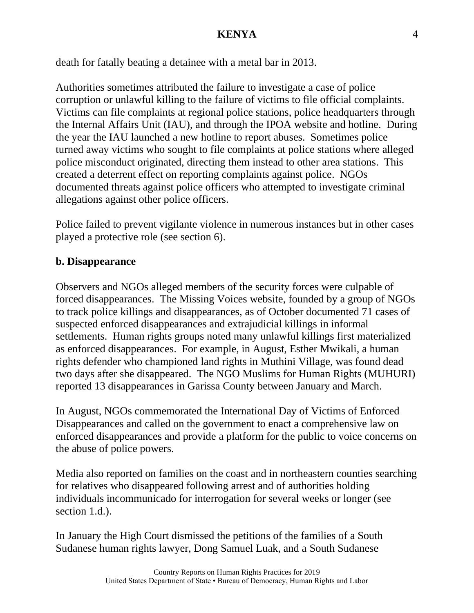death for fatally beating a detainee with a metal bar in 2013.

Authorities sometimes attributed the failure to investigate a case of police corruption or unlawful killing to the failure of victims to file official complaints. Victims can file complaints at regional police stations, police headquarters through the Internal Affairs Unit (IAU), and through the IPOA website and hotline. During the year the IAU launched a new hotline to report abuses. Sometimes police turned away victims who sought to file complaints at police stations where alleged police misconduct originated, directing them instead to other area stations. This created a deterrent effect on reporting complaints against police. NGOs documented threats against police officers who attempted to investigate criminal allegations against other police officers.

Police failed to prevent vigilante violence in numerous instances but in other cases played a protective role (see section 6).

## **b. Disappearance**

Observers and NGOs alleged members of the security forces were culpable of forced disappearances. The Missing Voices website, founded by a group of NGOs to track police killings and disappearances, as of October documented 71 cases of suspected enforced disappearances and extrajudicial killings in informal settlements. Human rights groups noted many unlawful killings first materialized as enforced disappearances. For example, in August, Esther Mwikali, a human rights defender who championed land rights in Muthini Village, was found dead two days after she disappeared. The NGO Muslims for Human Rights (MUHURI) reported 13 disappearances in Garissa County between January and March.

In August, NGOs commemorated the International Day of Victims of Enforced Disappearances and called on the government to enact a comprehensive law on enforced disappearances and provide a platform for the public to voice concerns on the abuse of police powers.

Media also reported on families on the coast and in northeastern counties searching for relatives who disappeared following arrest and of authorities holding individuals incommunicado for interrogation for several weeks or longer (see section 1.d.).

In January the High Court dismissed the petitions of the families of a South Sudanese human rights lawyer, Dong Samuel Luak, and a South Sudanese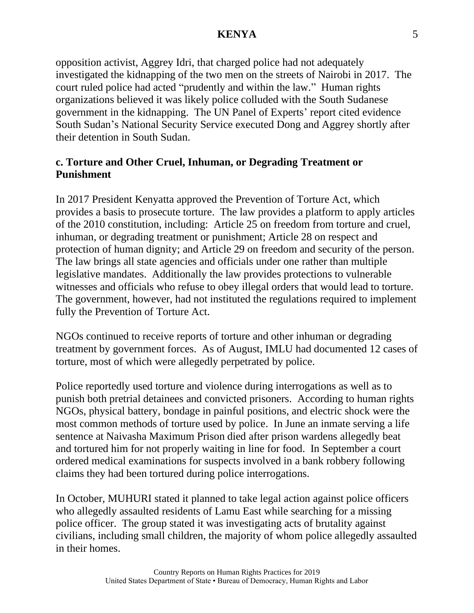opposition activist, Aggrey Idri, that charged police had not adequately investigated the kidnapping of the two men on the streets of Nairobi in 2017. The court ruled police had acted "prudently and within the law." Human rights organizations believed it was likely police colluded with the South Sudanese government in the kidnapping. The UN Panel of Experts' report cited evidence South Sudan's National Security Service executed Dong and Aggrey shortly after their detention in South Sudan.

## **c. Torture and Other Cruel, Inhuman, or Degrading Treatment or Punishment**

In 2017 President Kenyatta approved the Prevention of Torture Act, which provides a basis to prosecute torture. The law provides a platform to apply articles of the 2010 constitution, including: Article 25 on freedom from torture and cruel, inhuman, or degrading treatment or punishment; Article 28 on respect and protection of human dignity; and Article 29 on freedom and security of the person. The law brings all state agencies and officials under one rather than multiple legislative mandates. Additionally the law provides protections to vulnerable witnesses and officials who refuse to obey illegal orders that would lead to torture. The government, however, had not instituted the regulations required to implement fully the Prevention of Torture Act.

NGOs continued to receive reports of torture and other inhuman or degrading treatment by government forces. As of August, IMLU had documented 12 cases of torture, most of which were allegedly perpetrated by police.

Police reportedly used torture and violence during interrogations as well as to punish both pretrial detainees and convicted prisoners. According to human rights NGOs, physical battery, bondage in painful positions, and electric shock were the most common methods of torture used by police. In June an inmate serving a life sentence at Naivasha Maximum Prison died after prison wardens allegedly beat and tortured him for not properly waiting in line for food. In September a court ordered medical examinations for suspects involved in a bank robbery following claims they had been tortured during police interrogations.

In October, MUHURI stated it planned to take legal action against police officers who allegedly assaulted residents of Lamu East while searching for a missing police officer. The group stated it was investigating acts of brutality against civilians, including small children, the majority of whom police allegedly assaulted in their homes.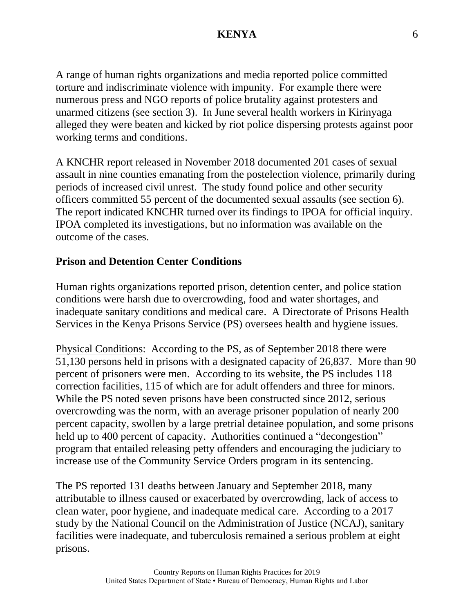A range of human rights organizations and media reported police committed torture and indiscriminate violence with impunity. For example there were numerous press and NGO reports of police brutality against protesters and unarmed citizens (see section 3). In June several health workers in Kirinyaga alleged they were beaten and kicked by riot police dispersing protests against poor working terms and conditions.

A KNCHR report released in November 2018 documented 201 cases of sexual assault in nine counties emanating from the postelection violence, primarily during periods of increased civil unrest. The study found police and other security officers committed 55 percent of the documented sexual assaults (see section 6). The report indicated KNCHR turned over its findings to IPOA for official inquiry. IPOA completed its investigations, but no information was available on the outcome of the cases.

## **Prison and Detention Center Conditions**

Human rights organizations reported prison, detention center, and police station conditions were harsh due to overcrowding, food and water shortages, and inadequate sanitary conditions and medical care. A Directorate of Prisons Health Services in the Kenya Prisons Service (PS) oversees health and hygiene issues.

Physical Conditions: According to the PS, as of September 2018 there were 51,130 persons held in prisons with a designated capacity of 26,837. More than 90 percent of prisoners were men. According to its website, the PS includes 118 correction facilities, 115 of which are for adult offenders and three for minors. While the PS noted seven prisons have been constructed since 2012, serious overcrowding was the norm, with an average prisoner population of nearly 200 percent capacity, swollen by a large pretrial detainee population, and some prisons held up to 400 percent of capacity. Authorities continued a "decongestion" program that entailed releasing petty offenders and encouraging the judiciary to increase use of the Community Service Orders program in its sentencing.

The PS reported 131 deaths between January and September 2018, many attributable to illness caused or exacerbated by overcrowding, lack of access to clean water, poor hygiene, and inadequate medical care. According to a 2017 study by the National Council on the Administration of Justice (NCAJ), sanitary facilities were inadequate, and tuberculosis remained a serious problem at eight prisons.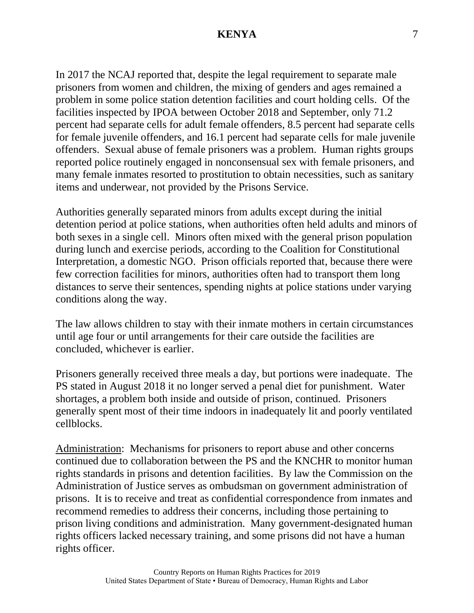In 2017 the NCAJ reported that, despite the legal requirement to separate male prisoners from women and children, the mixing of genders and ages remained a problem in some police station detention facilities and court holding cells. Of the facilities inspected by IPOA between October 2018 and September, only 71.2 percent had separate cells for adult female offenders, 8.5 percent had separate cells for female juvenile offenders, and 16.1 percent had separate cells for male juvenile offenders. Sexual abuse of female prisoners was a problem. Human rights groups reported police routinely engaged in nonconsensual sex with female prisoners, and many female inmates resorted to prostitution to obtain necessities, such as sanitary items and underwear, not provided by the Prisons Service.

Authorities generally separated minors from adults except during the initial detention period at police stations, when authorities often held adults and minors of both sexes in a single cell. Minors often mixed with the general prison population during lunch and exercise periods, according to the Coalition for Constitutional Interpretation, a domestic NGO. Prison officials reported that, because there were few correction facilities for minors, authorities often had to transport them long distances to serve their sentences, spending nights at police stations under varying conditions along the way.

The law allows children to stay with their inmate mothers in certain circumstances until age four or until arrangements for their care outside the facilities are concluded, whichever is earlier.

Prisoners generally received three meals a day, but portions were inadequate. The PS stated in August 2018 it no longer served a penal diet for punishment. Water shortages, a problem both inside and outside of prison, continued. Prisoners generally spent most of their time indoors in inadequately lit and poorly ventilated cellblocks.

Administration: Mechanisms for prisoners to report abuse and other concerns continued due to collaboration between the PS and the KNCHR to monitor human rights standards in prisons and detention facilities. By law the Commission on the Administration of Justice serves as ombudsman on government administration of prisons. It is to receive and treat as confidential correspondence from inmates and recommend remedies to address their concerns, including those pertaining to prison living conditions and administration. Many government-designated human rights officers lacked necessary training, and some prisons did not have a human rights officer.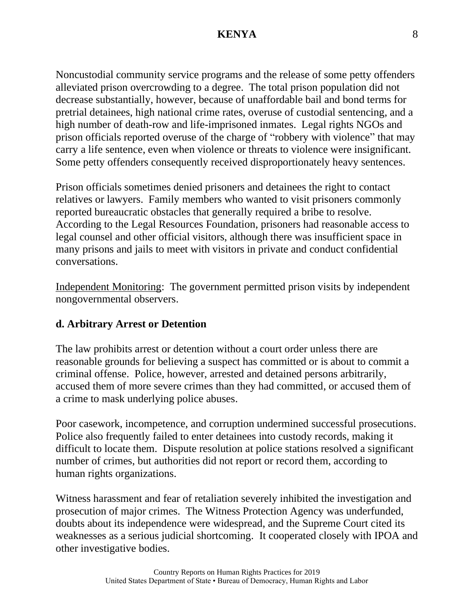Noncustodial community service programs and the release of some petty offenders alleviated prison overcrowding to a degree. The total prison population did not decrease substantially, however, because of unaffordable bail and bond terms for pretrial detainees, high national crime rates, overuse of custodial sentencing, and a high number of death-row and life-imprisoned inmates. Legal rights NGOs and prison officials reported overuse of the charge of "robbery with violence" that may carry a life sentence, even when violence or threats to violence were insignificant. Some petty offenders consequently received disproportionately heavy sentences.

Prison officials sometimes denied prisoners and detainees the right to contact relatives or lawyers. Family members who wanted to visit prisoners commonly reported bureaucratic obstacles that generally required a bribe to resolve. According to the Legal Resources Foundation, prisoners had reasonable access to legal counsel and other official visitors, although there was insufficient space in many prisons and jails to meet with visitors in private and conduct confidential conversations.

Independent Monitoring: The government permitted prison visits by independent nongovernmental observers.

#### **d. Arbitrary Arrest or Detention**

The law prohibits arrest or detention without a court order unless there are reasonable grounds for believing a suspect has committed or is about to commit a criminal offense. Police, however, arrested and detained persons arbitrarily, accused them of more severe crimes than they had committed, or accused them of a crime to mask underlying police abuses.

Poor casework, incompetence, and corruption undermined successful prosecutions. Police also frequently failed to enter detainees into custody records, making it difficult to locate them. Dispute resolution at police stations resolved a significant number of crimes, but authorities did not report or record them, according to human rights organizations.

Witness harassment and fear of retaliation severely inhibited the investigation and prosecution of major crimes. The Witness Protection Agency was underfunded, doubts about its independence were widespread, and the Supreme Court cited its weaknesses as a serious judicial shortcoming. It cooperated closely with IPOA and other investigative bodies.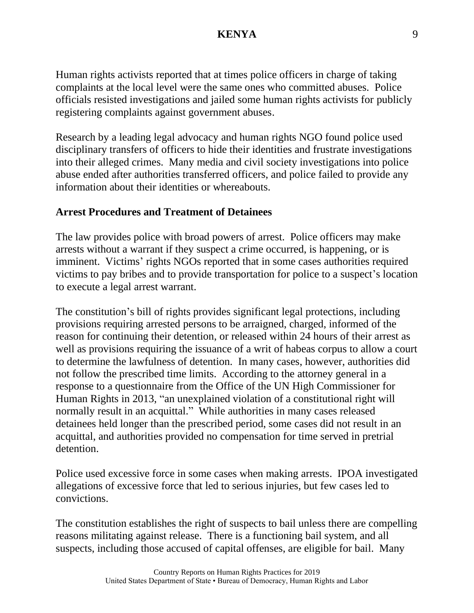Human rights activists reported that at times police officers in charge of taking complaints at the local level were the same ones who committed abuses. Police officials resisted investigations and jailed some human rights activists for publicly registering complaints against government abuses.

Research by a leading legal advocacy and human rights NGO found police used disciplinary transfers of officers to hide their identities and frustrate investigations into their alleged crimes. Many media and civil society investigations into police abuse ended after authorities transferred officers, and police failed to provide any information about their identities or whereabouts.

#### **Arrest Procedures and Treatment of Detainees**

The law provides police with broad powers of arrest. Police officers may make arrests without a warrant if they suspect a crime occurred, is happening, or is imminent. Victims' rights NGOs reported that in some cases authorities required victims to pay bribes and to provide transportation for police to a suspect's location to execute a legal arrest warrant.

The constitution's bill of rights provides significant legal protections, including provisions requiring arrested persons to be arraigned, charged, informed of the reason for continuing their detention, or released within 24 hours of their arrest as well as provisions requiring the issuance of a writ of habeas corpus to allow a court to determine the lawfulness of detention. In many cases, however, authorities did not follow the prescribed time limits. According to the attorney general in a response to a questionnaire from the Office of the UN High Commissioner for Human Rights in 2013, "an unexplained violation of a constitutional right will normally result in an acquittal." While authorities in many cases released detainees held longer than the prescribed period, some cases did not result in an acquittal, and authorities provided no compensation for time served in pretrial detention.

Police used excessive force in some cases when making arrests. IPOA investigated allegations of excessive force that led to serious injuries, but few cases led to convictions.

The constitution establishes the right of suspects to bail unless there are compelling reasons militating against release. There is a functioning bail system, and all suspects, including those accused of capital offenses, are eligible for bail. Many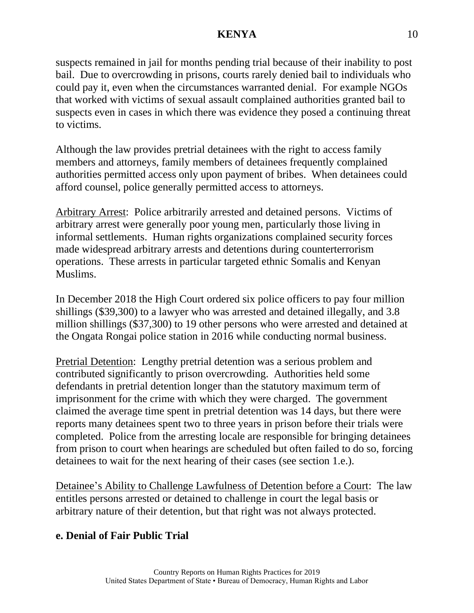suspects remained in jail for months pending trial because of their inability to post bail. Due to overcrowding in prisons, courts rarely denied bail to individuals who could pay it, even when the circumstances warranted denial. For example NGOs that worked with victims of sexual assault complained authorities granted bail to suspects even in cases in which there was evidence they posed a continuing threat to victims.

Although the law provides pretrial detainees with the right to access family members and attorneys, family members of detainees frequently complained authorities permitted access only upon payment of bribes. When detainees could afford counsel, police generally permitted access to attorneys.

Arbitrary Arrest: Police arbitrarily arrested and detained persons. Victims of arbitrary arrest were generally poor young men, particularly those living in informal settlements. Human rights organizations complained security forces made widespread arbitrary arrests and detentions during counterterrorism operations. These arrests in particular targeted ethnic Somalis and Kenyan Muslims.

In December 2018 the High Court ordered six police officers to pay four million shillings (\$39,300) to a lawyer who was arrested and detained illegally, and 3.8 million shillings (\$37,300) to 19 other persons who were arrested and detained at the Ongata Rongai police station in 2016 while conducting normal business.

Pretrial Detention: Lengthy pretrial detention was a serious problem and contributed significantly to prison overcrowding. Authorities held some defendants in pretrial detention longer than the statutory maximum term of imprisonment for the crime with which they were charged. The government claimed the average time spent in pretrial detention was 14 days, but there were reports many detainees spent two to three years in prison before their trials were completed. Police from the arresting locale are responsible for bringing detainees from prison to court when hearings are scheduled but often failed to do so, forcing detainees to wait for the next hearing of their cases (see section 1.e.).

Detainee's Ability to Challenge Lawfulness of Detention before a Court: The law entitles persons arrested or detained to challenge in court the legal basis or arbitrary nature of their detention, but that right was not always protected.

# **e. Denial of Fair Public Trial**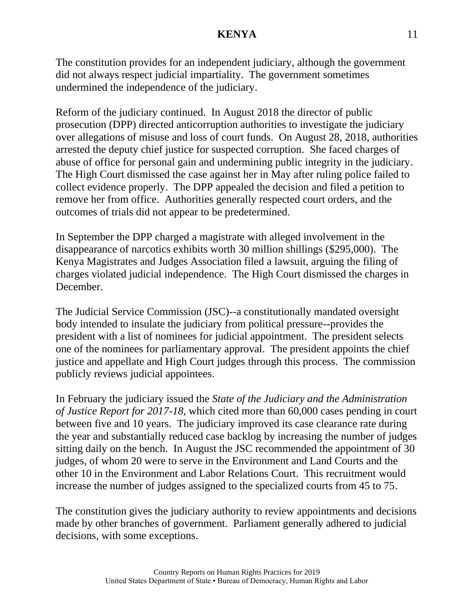The constitution provides for an independent judiciary, although the government did not always respect judicial impartiality. The government sometimes undermined the independence of the judiciary.

Reform of the judiciary continued. In August 2018 the director of public prosecution (DPP) directed anticorruption authorities to investigate the judiciary over allegations of misuse and loss of court funds. On August 28, 2018, authorities arrested the deputy chief justice for suspected corruption. She faced charges of abuse of office for personal gain and undermining public integrity in the judiciary. The High Court dismissed the case against her in May after ruling police failed to collect evidence properly. The DPP appealed the decision and filed a petition to remove her from office. Authorities generally respected court orders, and the outcomes of trials did not appear to be predetermined.

In September the DPP charged a magistrate with alleged involvement in the disappearance of narcotics exhibits worth 30 million shillings (\$295,000). The Kenya Magistrates and Judges Association filed a lawsuit, arguing the filing of charges violated judicial independence. The High Court dismissed the charges in December.

The Judicial Service Commission (JSC)--a constitutionally mandated oversight body intended to insulate the judiciary from political pressure--provides the president with a list of nominees for judicial appointment. The president selects one of the nominees for parliamentary approval. The president appoints the chief justice and appellate and High Court judges through this process. The commission publicly reviews judicial appointees.

In February the judiciary issued the *State of the Judiciary and the Administration of Justice Report for 2017-18*, which cited more than 60,000 cases pending in court between five and 10 years. The judiciary improved its case clearance rate during the year and substantially reduced case backlog by increasing the number of judges sitting daily on the bench. In August the JSC recommended the appointment of 30 judges, of whom 20 were to serve in the Environment and Land Courts and the other 10 in the Environment and Labor Relations Court. This recruitment would increase the number of judges assigned to the specialized courts from 45 to 75.

The constitution gives the judiciary authority to review appointments and decisions made by other branches of government. Parliament generally adhered to judicial decisions, with some exceptions.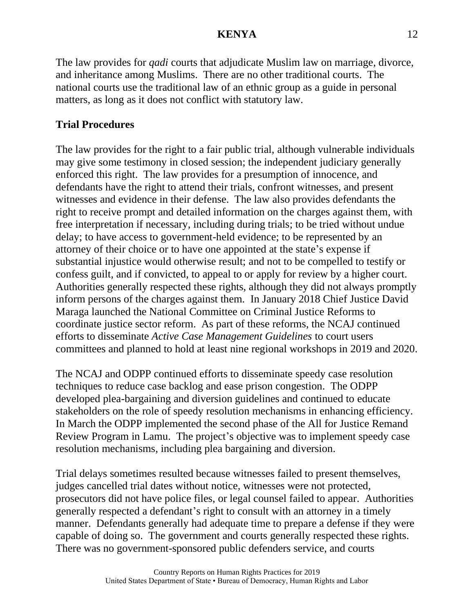The law provides for *qadi* courts that adjudicate Muslim law on marriage, divorce, and inheritance among Muslims. There are no other traditional courts. The national courts use the traditional law of an ethnic group as a guide in personal matters, as long as it does not conflict with statutory law.

# **Trial Procedures**

The law provides for the right to a fair public trial, although vulnerable individuals may give some testimony in closed session; the independent judiciary generally enforced this right. The law provides for a presumption of innocence, and defendants have the right to attend their trials, confront witnesses, and present witnesses and evidence in their defense. The law also provides defendants the right to receive prompt and detailed information on the charges against them, with free interpretation if necessary, including during trials; to be tried without undue delay; to have access to government-held evidence; to be represented by an attorney of their choice or to have one appointed at the state's expense if substantial injustice would otherwise result; and not to be compelled to testify or confess guilt, and if convicted, to appeal to or apply for review by a higher court. Authorities generally respected these rights, although they did not always promptly inform persons of the charges against them. In January 2018 Chief Justice David Maraga launched the National Committee on Criminal Justice Reforms to coordinate justice sector reform. As part of these reforms, the NCAJ continued efforts to disseminate *Active Case Management Guidelines* to court users committees and planned to hold at least nine regional workshops in 2019 and 2020.

The NCAJ and ODPP continued efforts to disseminate speedy case resolution techniques to reduce case backlog and ease prison congestion. The ODPP developed plea-bargaining and diversion guidelines and continued to educate stakeholders on the role of speedy resolution mechanisms in enhancing efficiency. In March the ODPP implemented the second phase of the All for Justice Remand Review Program in Lamu. The project's objective was to implement speedy case resolution mechanisms, including plea bargaining and diversion.

Trial delays sometimes resulted because witnesses failed to present themselves, judges cancelled trial dates without notice, witnesses were not protected, prosecutors did not have police files, or legal counsel failed to appear. Authorities generally respected a defendant's right to consult with an attorney in a timely manner. Defendants generally had adequate time to prepare a defense if they were capable of doing so. The government and courts generally respected these rights. There was no government-sponsored public defenders service, and courts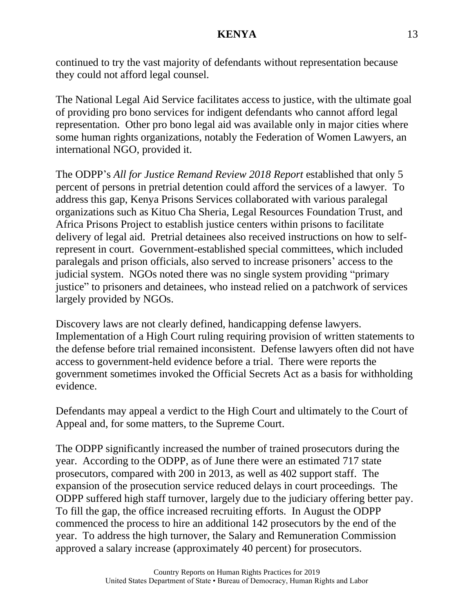continued to try the vast majority of defendants without representation because they could not afford legal counsel.

The National Legal Aid Service facilitates access to justice, with the ultimate goal of providing pro bono services for indigent defendants who cannot afford legal representation. Other pro bono legal aid was available only in major cities where some human rights organizations, notably the Federation of Women Lawyers, an international NGO, provided it.

The ODPP's *All for Justice Remand Review 2018 Report* established that only 5 percent of persons in pretrial detention could afford the services of a lawyer. To address this gap, Kenya Prisons Services collaborated with various paralegal organizations such as Kituo Cha Sheria, Legal Resources Foundation Trust, and Africa Prisons Project to establish justice centers within prisons to facilitate delivery of legal aid. Pretrial detainees also received instructions on how to selfrepresent in court. Government-established special committees, which included paralegals and prison officials, also served to increase prisoners' access to the judicial system. NGOs noted there was no single system providing "primary justice" to prisoners and detainees, who instead relied on a patchwork of services largely provided by NGOs.

Discovery laws are not clearly defined, handicapping defense lawyers. Implementation of a High Court ruling requiring provision of written statements to the defense before trial remained inconsistent. Defense lawyers often did not have access to government-held evidence before a trial. There were reports the government sometimes invoked the Official Secrets Act as a basis for withholding evidence.

Defendants may appeal a verdict to the High Court and ultimately to the Court of Appeal and, for some matters, to the Supreme Court.

The ODPP significantly increased the number of trained prosecutors during the year. According to the ODPP, as of June there were an estimated 717 state prosecutors, compared with 200 in 2013, as well as 402 support staff. The expansion of the prosecution service reduced delays in court proceedings. The ODPP suffered high staff turnover, largely due to the judiciary offering better pay. To fill the gap, the office increased recruiting efforts. In August the ODPP commenced the process to hire an additional 142 prosecutors by the end of the year. To address the high turnover, the Salary and Remuneration Commission approved a salary increase (approximately 40 percent) for prosecutors.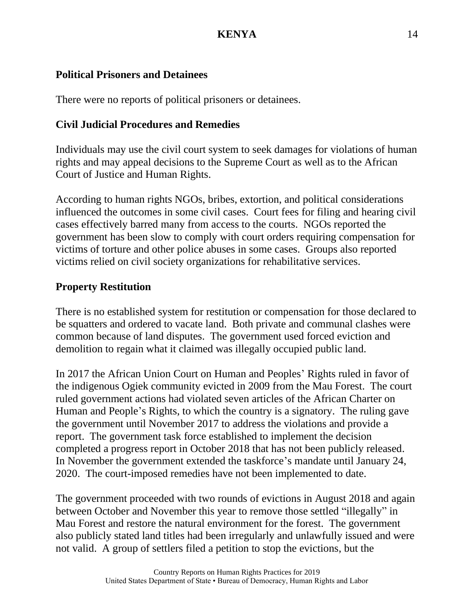# **Political Prisoners and Detainees**

There were no reports of political prisoners or detainees.

# **Civil Judicial Procedures and Remedies**

Individuals may use the civil court system to seek damages for violations of human rights and may appeal decisions to the Supreme Court as well as to the African Court of Justice and Human Rights.

According to human rights NGOs, bribes, extortion, and political considerations influenced the outcomes in some civil cases. Court fees for filing and hearing civil cases effectively barred many from access to the courts. NGOs reported the government has been slow to comply with court orders requiring compensation for victims of torture and other police abuses in some cases. Groups also reported victims relied on civil society organizations for rehabilitative services.

# **Property Restitution**

There is no established system for restitution or compensation for those declared to be squatters and ordered to vacate land. Both private and communal clashes were common because of land disputes. The government used forced eviction and demolition to regain what it claimed was illegally occupied public land.

In 2017 the African Union Court on Human and Peoples' Rights ruled in favor of the indigenous Ogiek community evicted in 2009 from the Mau Forest. The court ruled government actions had violated seven articles of the African Charter on Human and People's Rights, to which the country is a signatory. The ruling gave the government until November 2017 to address the violations and provide a report. The government task force established to implement the decision completed a progress report in October 2018 that has not been publicly released. In November the government extended the taskforce's mandate until January 24, 2020. The court-imposed remedies have not been implemented to date.

The government proceeded with two rounds of evictions in August 2018 and again between October and November this year to remove those settled "illegally" in Mau Forest and restore the natural environment for the forest. The government also publicly stated land titles had been irregularly and unlawfully issued and were not valid. A group of settlers filed a petition to stop the evictions, but the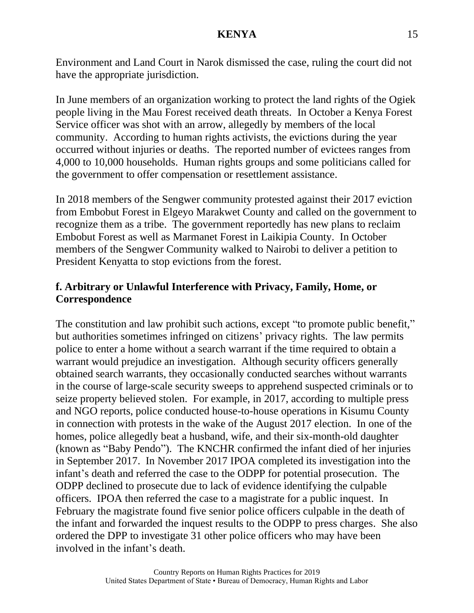Environment and Land Court in Narok dismissed the case, ruling the court did not have the appropriate jurisdiction.

In June members of an organization working to protect the land rights of the Ogiek people living in the Mau Forest received death threats. In October a Kenya Forest Service officer was shot with an arrow, allegedly by members of the local community. According to human rights activists, the evictions during the year occurred without injuries or deaths. The reported number of evictees ranges from 4,000 to 10,000 households. Human rights groups and some politicians called for the government to offer compensation or resettlement assistance.

In 2018 members of the Sengwer community protested against their 2017 eviction from Embobut Forest in Elgeyo Marakwet County and called on the government to recognize them as a tribe. The government reportedly has new plans to reclaim Embobut Forest as well as Marmanet Forest in Laikipia County. In October members of the Sengwer Community walked to Nairobi to deliver a petition to President Kenyatta to stop evictions from the forest.

## **f. Arbitrary or Unlawful Interference with Privacy, Family, Home, or Correspondence**

The constitution and law prohibit such actions, except "to promote public benefit," but authorities sometimes infringed on citizens' privacy rights. The law permits police to enter a home without a search warrant if the time required to obtain a warrant would prejudice an investigation. Although security officers generally obtained search warrants, they occasionally conducted searches without warrants in the course of large-scale security sweeps to apprehend suspected criminals or to seize property believed stolen. For example, in 2017, according to multiple press and NGO reports, police conducted house-to-house operations in Kisumu County in connection with protests in the wake of the August 2017 election. In one of the homes, police allegedly beat a husband, wife, and their six-month-old daughter (known as "Baby Pendo"). The KNCHR confirmed the infant died of her injuries in September 2017. In November 2017 IPOA completed its investigation into the infant's death and referred the case to the ODPP for potential prosecution. The ODPP declined to prosecute due to lack of evidence identifying the culpable officers. IPOA then referred the case to a magistrate for a public inquest. In February the magistrate found five senior police officers culpable in the death of the infant and forwarded the inquest results to the ODPP to press charges. She also ordered the DPP to investigate 31 other police officers who may have been involved in the infant's death.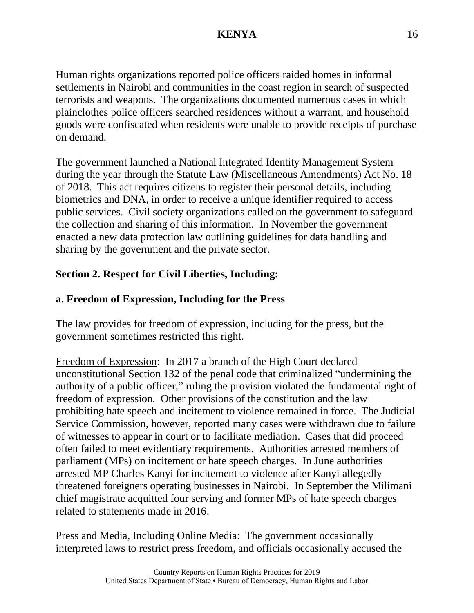Human rights organizations reported police officers raided homes in informal settlements in Nairobi and communities in the coast region in search of suspected terrorists and weapons. The organizations documented numerous cases in which plainclothes police officers searched residences without a warrant, and household goods were confiscated when residents were unable to provide receipts of purchase on demand.

The government launched a National Integrated Identity Management System during the year through the Statute Law (Miscellaneous Amendments) Act No. 18 of 2018. This act requires citizens to register their personal details, including biometrics and DNA, in order to receive a unique identifier required to access public services. Civil society organizations called on the government to safeguard the collection and sharing of this information. In November the government enacted a new data protection law outlining guidelines for data handling and sharing by the government and the private sector.

# **Section 2. Respect for Civil Liberties, Including:**

# **a. Freedom of Expression, Including for the Press**

The law provides for freedom of expression, including for the press, but the government sometimes restricted this right.

Freedom of Expression: In 2017 a branch of the High Court declared unconstitutional Section 132 of the penal code that criminalized "undermining the authority of a public officer," ruling the provision violated the fundamental right of freedom of expression. Other provisions of the constitution and the law prohibiting hate speech and incitement to violence remained in force. The Judicial Service Commission, however, reported many cases were withdrawn due to failure of witnesses to appear in court or to facilitate mediation. Cases that did proceed often failed to meet evidentiary requirements. Authorities arrested members of parliament (MPs) on incitement or hate speech charges. In June authorities arrested MP Charles Kanyi for incitement to violence after Kanyi allegedly threatened foreigners operating businesses in Nairobi. In September the Milimani chief magistrate acquitted four serving and former MPs of hate speech charges related to statements made in 2016.

Press and Media, Including Online Media: The government occasionally interpreted laws to restrict press freedom, and officials occasionally accused the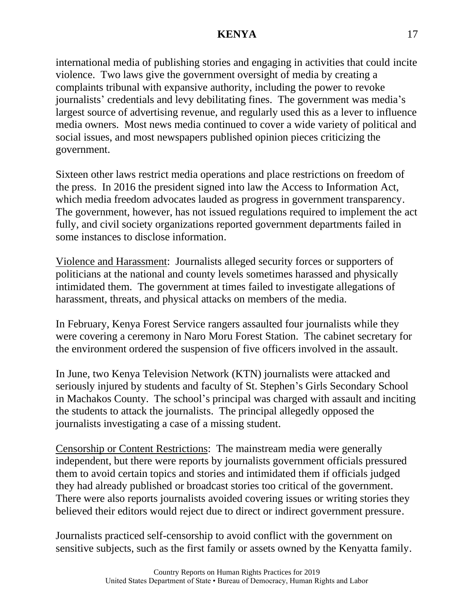international media of publishing stories and engaging in activities that could incite violence. Two laws give the government oversight of media by creating a complaints tribunal with expansive authority, including the power to revoke journalists' credentials and levy debilitating fines. The government was media's largest source of advertising revenue, and regularly used this as a lever to influence media owners. Most news media continued to cover a wide variety of political and social issues, and most newspapers published opinion pieces criticizing the government.

Sixteen other laws restrict media operations and place restrictions on freedom of the press. In 2016 the president signed into law the Access to Information Act, which media freedom advocates lauded as progress in government transparency. The government, however, has not issued regulations required to implement the act fully, and civil society organizations reported government departments failed in some instances to disclose information.

Violence and Harassment: Journalists alleged security forces or supporters of politicians at the national and county levels sometimes harassed and physically intimidated them. The government at times failed to investigate allegations of harassment, threats, and physical attacks on members of the media.

In February, Kenya Forest Service rangers assaulted four journalists while they were covering a ceremony in Naro Moru Forest Station. The cabinet secretary for the environment ordered the suspension of five officers involved in the assault.

In June, two Kenya Television Network (KTN) journalists were attacked and seriously injured by students and faculty of St. Stephen's Girls Secondary School in Machakos County. The school's principal was charged with assault and inciting the students to attack the journalists. The principal allegedly opposed the journalists investigating a case of a missing student.

Censorship or Content Restrictions: The mainstream media were generally independent, but there were reports by journalists government officials pressured them to avoid certain topics and stories and intimidated them if officials judged they had already published or broadcast stories too critical of the government. There were also reports journalists avoided covering issues or writing stories they believed their editors would reject due to direct or indirect government pressure.

Journalists practiced self-censorship to avoid conflict with the government on sensitive subjects, such as the first family or assets owned by the Kenyatta family.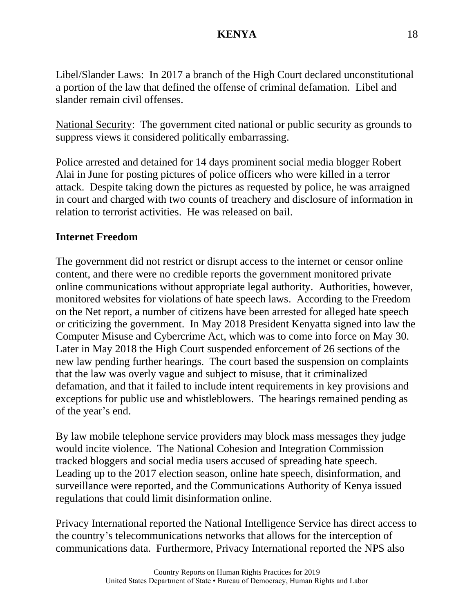Libel/Slander Laws: In 2017 a branch of the High Court declared unconstitutional a portion of the law that defined the offense of criminal defamation. Libel and slander remain civil offenses.

National Security: The government cited national or public security as grounds to suppress views it considered politically embarrassing.

Police arrested and detained for 14 days prominent social media blogger Robert Alai in June for posting pictures of police officers who were killed in a terror attack. Despite taking down the pictures as requested by police, he was arraigned in court and charged with two counts of treachery and disclosure of information in relation to terrorist activities. He was released on bail.

# **Internet Freedom**

The government did not restrict or disrupt access to the internet or censor online content, and there were no credible reports the government monitored private online communications without appropriate legal authority. Authorities, however, monitored websites for violations of hate speech laws. According to the Freedom on the Net report, a number of citizens have been arrested for alleged hate speech or criticizing the government. In May 2018 President Kenyatta signed into law the Computer Misuse and Cybercrime Act, which was to come into force on May 30. Later in May 2018 the High Court suspended enforcement of 26 sections of the new law pending further hearings. The court based the suspension on complaints that the law was overly vague and subject to misuse, that it criminalized defamation, and that it failed to include intent requirements in key provisions and exceptions for public use and whistleblowers. The hearings remained pending as of the year's end.

By law mobile telephone service providers may block mass messages they judge would incite violence. The National Cohesion and Integration Commission tracked bloggers and social media users accused of spreading hate speech. Leading up to the 2017 election season, online hate speech, disinformation, and surveillance were reported, and the Communications Authority of Kenya issued regulations that could limit disinformation online.

Privacy International reported the National Intelligence Service has direct access to the country's telecommunications networks that allows for the interception of communications data. Furthermore, Privacy International reported the NPS also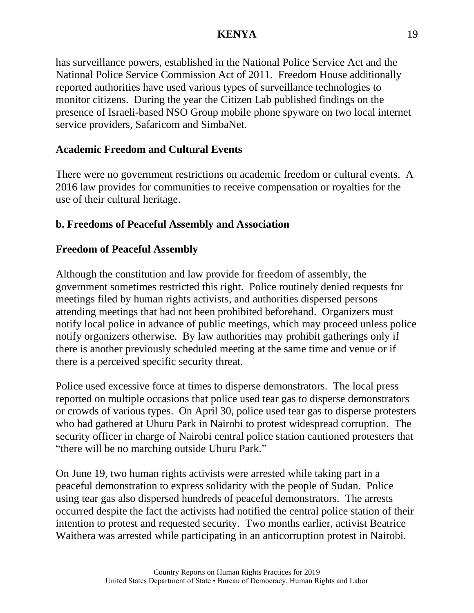has surveillance powers, established in the National Police Service Act and the National Police Service Commission Act of 2011. Freedom House additionally reported authorities have used various types of surveillance technologies to monitor citizens. During the year the Citizen Lab published findings on the presence of Israeli-based NSO Group mobile phone spyware on two local internet service providers, Safaricom and SimbaNet.

# **Academic Freedom and Cultural Events**

There were no government restrictions on academic freedom or cultural events. A 2016 law provides for communities to receive compensation or royalties for the use of their cultural heritage.

## **b. Freedoms of Peaceful Assembly and Association**

#### **Freedom of Peaceful Assembly**

Although the constitution and law provide for freedom of assembly, the government sometimes restricted this right. Police routinely denied requests for meetings filed by human rights activists, and authorities dispersed persons attending meetings that had not been prohibited beforehand. Organizers must notify local police in advance of public meetings, which may proceed unless police notify organizers otherwise. By law authorities may prohibit gatherings only if there is another previously scheduled meeting at the same time and venue or if there is a perceived specific security threat.

Police used excessive force at times to disperse demonstrators. The local press reported on multiple occasions that police used tear gas to disperse demonstrators or crowds of various types. On April 30, police used tear gas to disperse protesters who had gathered at Uhuru Park in Nairobi to protest widespread corruption. The security officer in charge of Nairobi central police station cautioned protesters that "there will be no marching outside Uhuru Park."

On June 19, two human rights activists were arrested while taking part in a peaceful demonstration to express solidarity with the people of Sudan. Police using tear gas also dispersed hundreds of peaceful demonstrators. The arrests occurred despite the fact the activists had notified the central police station of their intention to protest and requested security. Two months earlier, activist Beatrice Waithera was arrested while participating in an anticorruption protest in Nairobi.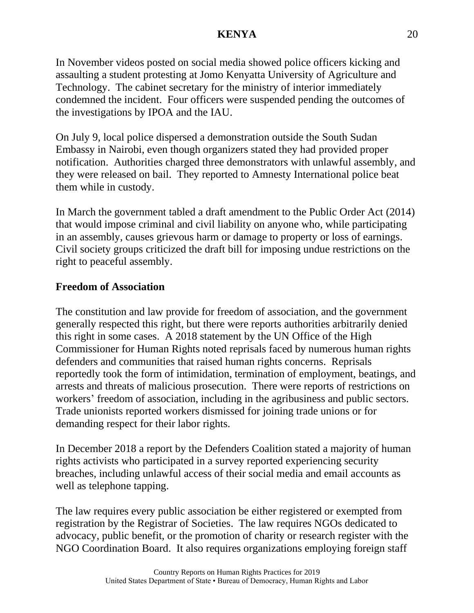In November videos posted on social media showed police officers kicking and assaulting a student protesting at Jomo Kenyatta University of Agriculture and Technology. The cabinet secretary for the ministry of interior immediately condemned the incident. Four officers were suspended pending the outcomes of the investigations by IPOA and the IAU.

On July 9, local police dispersed a demonstration outside the South Sudan Embassy in Nairobi, even though organizers stated they had provided proper notification. Authorities charged three demonstrators with unlawful assembly, and they were released on bail. They reported to Amnesty International police beat them while in custody.

In March the government tabled a draft amendment to the Public Order Act (2014) that would impose criminal and civil liability on anyone who, while participating in an assembly, causes grievous harm or damage to property or loss of earnings. Civil society groups criticized the draft bill for imposing undue restrictions on the right to peaceful assembly.

# **Freedom of Association**

The constitution and law provide for freedom of association, and the government generally respected this right, but there were reports authorities arbitrarily denied this right in some cases. A 2018 statement by the UN Office of the High Commissioner for Human Rights noted reprisals faced by numerous human rights defenders and communities that raised human rights concerns. Reprisals reportedly took the form of intimidation, termination of employment, beatings, and arrests and threats of malicious prosecution. There were reports of restrictions on workers' freedom of association, including in the agribusiness and public sectors. Trade unionists reported workers dismissed for joining trade unions or for demanding respect for their labor rights.

In December 2018 a report by the Defenders Coalition stated a majority of human rights activists who participated in a survey reported experiencing security breaches, including unlawful access of their social media and email accounts as well as telephone tapping.

The law requires every public association be either registered or exempted from registration by the Registrar of Societies. The law requires NGOs dedicated to advocacy, public benefit, or the promotion of charity or research register with the NGO Coordination Board. It also requires organizations employing foreign staff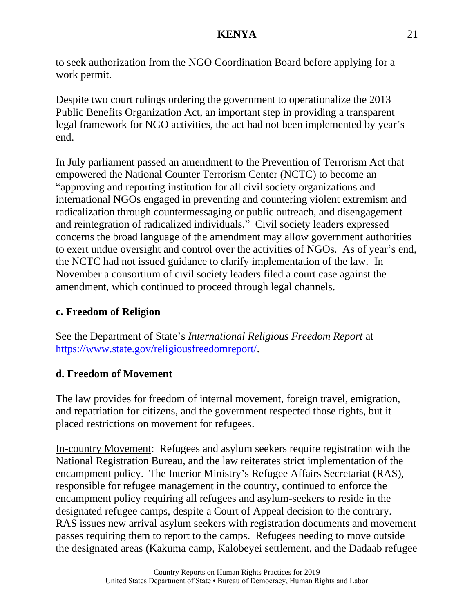to seek authorization from the NGO Coordination Board before applying for a work permit.

Despite two court rulings ordering the government to operationalize the 2013 Public Benefits Organization Act, an important step in providing a transparent legal framework for NGO activities, the act had not been implemented by year's end.

In July parliament passed an amendment to the Prevention of Terrorism Act that empowered the National Counter Terrorism Center (NCTC) to become an "approving and reporting institution for all civil society organizations and international NGOs engaged in preventing and countering violent extremism and radicalization through countermessaging or public outreach, and disengagement and reintegration of radicalized individuals." Civil society leaders expressed concerns the broad language of the amendment may allow government authorities to exert undue oversight and control over the activities of NGOs. As of year's end, the NCTC had not issued guidance to clarify implementation of the law. In November a consortium of civil society leaders filed a court case against the amendment, which continued to proceed through legal channels.

# **c. Freedom of Religion**

See the Department of State's *International Religious Freedom Report* at [https://www.state.gov/religiousfreedomreport/.](https://www.state.gov/religiousfreedomreport/)

# **d. Freedom of Movement**

The law provides for freedom of internal movement, foreign travel, emigration, and repatriation for citizens, and the government respected those rights, but it placed restrictions on movement for refugees.

In-country Movement: Refugees and asylum seekers require registration with the National Registration Bureau, and the law reiterates strict implementation of the encampment policy. The Interior Ministry's Refugee Affairs Secretariat (RAS), responsible for refugee management in the country, continued to enforce the encampment policy requiring all refugees and asylum-seekers to reside in the designated refugee camps, despite a Court of Appeal decision to the contrary. RAS issues new arrival asylum seekers with registration documents and movement passes requiring them to report to the camps. Refugees needing to move outside the designated areas (Kakuma camp, Kalobeyei settlement, and the Dadaab refugee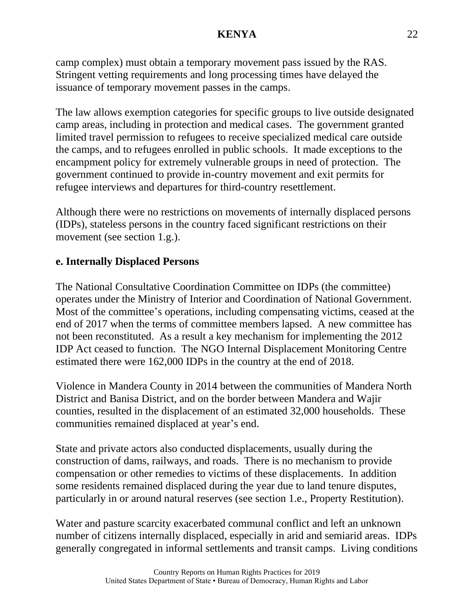camp complex) must obtain a temporary movement pass issued by the RAS. Stringent vetting requirements and long processing times have delayed the issuance of temporary movement passes in the camps.

The law allows exemption categories for specific groups to live outside designated camp areas, including in protection and medical cases. The government granted limited travel permission to refugees to receive specialized medical care outside the camps, and to refugees enrolled in public schools. It made exceptions to the encampment policy for extremely vulnerable groups in need of protection. The government continued to provide in-country movement and exit permits for refugee interviews and departures for third-country resettlement.

Although there were no restrictions on movements of internally displaced persons (IDPs), stateless persons in the country faced significant restrictions on their movement (see section 1.g.).

# **e. Internally Displaced Persons**

The National Consultative Coordination Committee on IDPs (the committee) operates under the Ministry of Interior and Coordination of National Government. Most of the committee's operations, including compensating victims, ceased at the end of 2017 when the terms of committee members lapsed. A new committee has not been reconstituted. As a result a key mechanism for implementing the 2012 IDP Act ceased to function. The NGO Internal Displacement Monitoring Centre estimated there were 162,000 IDPs in the country at the end of 2018.

Violence in Mandera County in 2014 between the communities of Mandera North District and Banisa District, and on the border between Mandera and Wajir counties, resulted in the displacement of an estimated 32,000 households. These communities remained displaced at year's end.

State and private actors also conducted displacements, usually during the construction of dams, railways, and roads. There is no mechanism to provide compensation or other remedies to victims of these displacements. In addition some residents remained displaced during the year due to land tenure disputes, particularly in or around natural reserves (see section 1.e., Property Restitution).

Water and pasture scarcity exacerbated communal conflict and left an unknown number of citizens internally displaced, especially in arid and semiarid areas. IDPs generally congregated in informal settlements and transit camps. Living conditions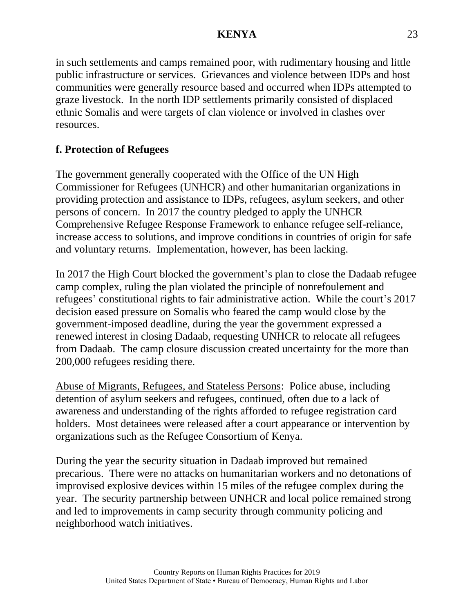in such settlements and camps remained poor, with rudimentary housing and little public infrastructure or services. Grievances and violence between IDPs and host communities were generally resource based and occurred when IDPs attempted to graze livestock. In the north IDP settlements primarily consisted of displaced ethnic Somalis and were targets of clan violence or involved in clashes over resources.

# **f. Protection of Refugees**

The government generally cooperated with the Office of the UN High Commissioner for Refugees (UNHCR) and other humanitarian organizations in providing protection and assistance to IDPs, refugees, asylum seekers, and other persons of concern. In 2017 the country pledged to apply the UNHCR Comprehensive Refugee Response Framework to enhance refugee self-reliance, increase access to solutions, and improve conditions in countries of origin for safe and voluntary returns. Implementation, however, has been lacking.

In 2017 the High Court blocked the government's plan to close the Dadaab refugee camp complex, ruling the plan violated the principle of nonrefoulement and refugees' constitutional rights to fair administrative action. While the court's 2017 decision eased pressure on Somalis who feared the camp would close by the government-imposed deadline, during the year the government expressed a renewed interest in closing Dadaab, requesting UNHCR to relocate all refugees from Dadaab. The camp closure discussion created uncertainty for the more than 200,000 refugees residing there.

Abuse of Migrants, Refugees, and Stateless Persons: Police abuse, including detention of asylum seekers and refugees, continued, often due to a lack of awareness and understanding of the rights afforded to refugee registration card holders. Most detainees were released after a court appearance or intervention by organizations such as the Refugee Consortium of Kenya.

During the year the security situation in Dadaab improved but remained precarious. There were no attacks on humanitarian workers and no detonations of improvised explosive devices within 15 miles of the refugee complex during the year. The security partnership between UNHCR and local police remained strong and led to improvements in camp security through community policing and neighborhood watch initiatives.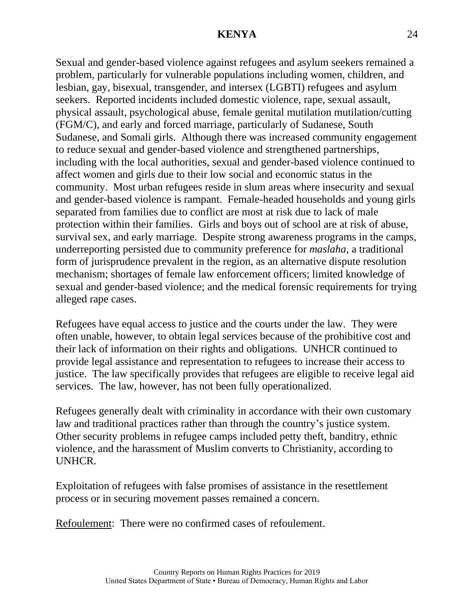Sexual and gender-based violence against refugees and asylum seekers remained a problem, particularly for vulnerable populations including women, children, and lesbian, gay, bisexual, transgender, and intersex (LGBTI) refugees and asylum seekers. Reported incidents included domestic violence, rape, sexual assault, physical assault, psychological abuse, female genital mutilation mutilation/cutting (FGM/C), and early and forced marriage, particularly of Sudanese, South Sudanese, and Somali girls. Although there was increased community engagement to reduce sexual and gender-based violence and strengthened partnerships, including with the local authorities, sexual and gender-based violence continued to affect women and girls due to their low social and economic status in the community. Most urban refugees reside in slum areas where insecurity and sexual and gender-based violence is rampant. Female-headed households and young girls separated from families due to conflict are most at risk due to lack of male protection within their families. Girls and boys out of school are at risk of abuse, survival sex, and early marriage. Despite strong awareness programs in the camps, underreporting persisted due to community preference for *maslaha*, a traditional form of jurisprudence prevalent in the region, as an alternative dispute resolution mechanism; shortages of female law enforcement officers; limited knowledge of sexual and gender-based violence; and the medical forensic requirements for trying alleged rape cases.

Refugees have equal access to justice and the courts under the law. They were often unable, however, to obtain legal services because of the prohibitive cost and their lack of information on their rights and obligations. UNHCR continued to provide legal assistance and representation to refugees to increase their access to justice. The law specifically provides that refugees are eligible to receive legal aid services. The law, however, has not been fully operationalized.

Refugees generally dealt with criminality in accordance with their own customary law and traditional practices rather than through the country's justice system. Other security problems in refugee camps included petty theft, banditry, ethnic violence, and the harassment of Muslim converts to Christianity, according to UNHCR.

Exploitation of refugees with false promises of assistance in the resettlement process or in securing movement passes remained a concern.

Refoulement: There were no confirmed cases of refoulement.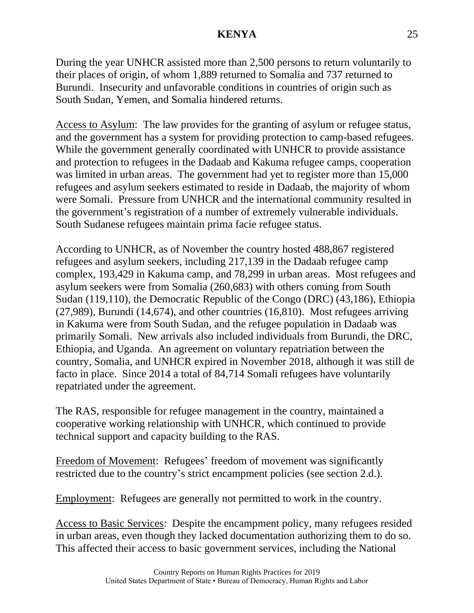During the year UNHCR assisted more than 2,500 persons to return voluntarily to their places of origin, of whom 1,889 returned to Somalia and 737 returned to Burundi. Insecurity and unfavorable conditions in countries of origin such as South Sudan, Yemen, and Somalia hindered returns.

Access to Asylum: The law provides for the granting of asylum or refugee status, and the government has a system for providing protection to camp-based refugees. While the government generally coordinated with UNHCR to provide assistance and protection to refugees in the Dadaab and Kakuma refugee camps, cooperation was limited in urban areas. The government had yet to register more than 15,000 refugees and asylum seekers estimated to reside in Dadaab, the majority of whom were Somali. Pressure from UNHCR and the international community resulted in the government's registration of a number of extremely vulnerable individuals. South Sudanese refugees maintain prima facie refugee status.

According to UNHCR, as of November the country hosted 488,867 registered refugees and asylum seekers, including 217,139 in the Dadaab refugee camp complex, 193,429 in Kakuma camp, and 78,299 in urban areas. Most refugees and asylum seekers were from Somalia (260,683) with others coming from South Sudan (119,110), the Democratic Republic of the Congo (DRC) (43,186), Ethiopia (27,989), Burundi (14,674), and other countries (16,810). Most refugees arriving in Kakuma were from South Sudan, and the refugee population in Dadaab was primarily Somali. New arrivals also included individuals from Burundi, the DRC, Ethiopia, and Uganda. An agreement on voluntary repatriation between the country, Somalia, and UNHCR expired in November 2018, although it was still de facto in place. Since 2014 a total of 84,714 Somali refugees have voluntarily repatriated under the agreement.

The RAS, responsible for refugee management in the country, maintained a cooperative working relationship with UNHCR, which continued to provide technical support and capacity building to the RAS.

Freedom of Movement: Refugees' freedom of movement was significantly restricted due to the country's strict encampment policies (see section 2.d.).

Employment: Refugees are generally not permitted to work in the country.

Access to Basic Services: Despite the encampment policy, many refugees resided in urban areas, even though they lacked documentation authorizing them to do so. This affected their access to basic government services, including the National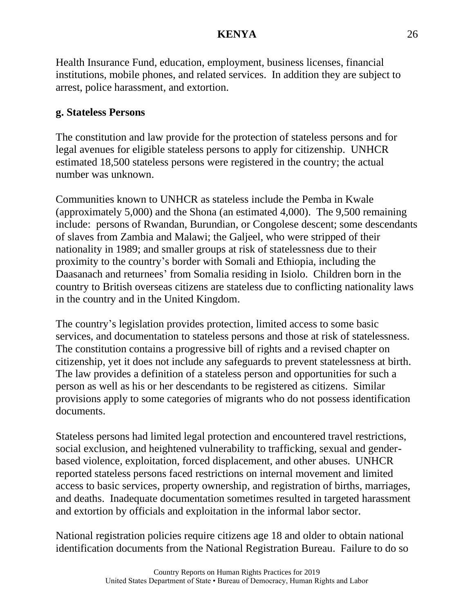Health Insurance Fund, education, employment, business licenses, financial institutions, mobile phones, and related services. In addition they are subject to arrest, police harassment, and extortion.

# **g. Stateless Persons**

The constitution and law provide for the protection of stateless persons and for legal avenues for eligible stateless persons to apply for citizenship. UNHCR estimated 18,500 stateless persons were registered in the country; the actual number was unknown.

Communities known to UNHCR as stateless include the Pemba in Kwale (approximately 5,000) and the Shona (an estimated 4,000). The 9,500 remaining include: persons of Rwandan, Burundian, or Congolese descent; some descendants of slaves from Zambia and Malawi; the Galjeel, who were stripped of their nationality in 1989; and smaller groups at risk of statelessness due to their proximity to the country's border with Somali and Ethiopia, including the Daasanach and returnees' from Somalia residing in Isiolo. Children born in the country to British overseas citizens are stateless due to conflicting nationality laws in the country and in the United Kingdom.

The country's legislation provides protection, limited access to some basic services, and documentation to stateless persons and those at risk of statelessness. The constitution contains a progressive bill of rights and a revised chapter on citizenship, yet it does not include any safeguards to prevent statelessness at birth. The law provides a definition of a stateless person and opportunities for such a person as well as his or her descendants to be registered as citizens. Similar provisions apply to some categories of migrants who do not possess identification documents.

Stateless persons had limited legal protection and encountered travel restrictions, social exclusion, and heightened vulnerability to trafficking, sexual and genderbased violence, exploitation, forced displacement, and other abuses. UNHCR reported stateless persons faced restrictions on internal movement and limited access to basic services, property ownership, and registration of births, marriages, and deaths. Inadequate documentation sometimes resulted in targeted harassment and extortion by officials and exploitation in the informal labor sector.

National registration policies require citizens age 18 and older to obtain national identification documents from the National Registration Bureau. Failure to do so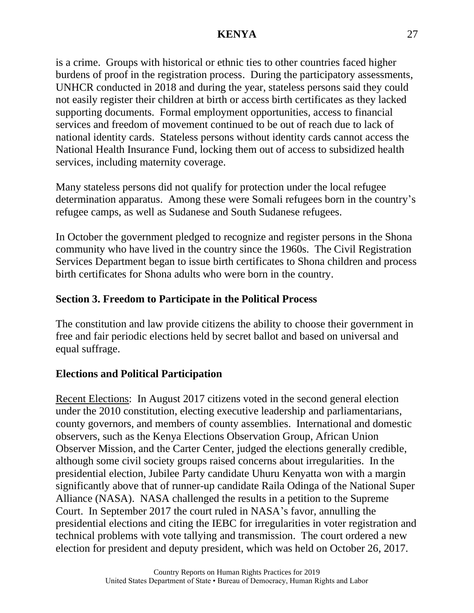is a crime. Groups with historical or ethnic ties to other countries faced higher burdens of proof in the registration process. During the participatory assessments, UNHCR conducted in 2018 and during the year, stateless persons said they could not easily register their children at birth or access birth certificates as they lacked supporting documents. Formal employment opportunities, access to financial services and freedom of movement continued to be out of reach due to lack of national identity cards. Stateless persons without identity cards cannot access the National Health Insurance Fund, locking them out of access to subsidized health services, including maternity coverage.

Many stateless persons did not qualify for protection under the local refugee determination apparatus. Among these were Somali refugees born in the country's refugee camps, as well as Sudanese and South Sudanese refugees.

In October the government pledged to recognize and register persons in the Shona community who have lived in the country since the 1960s. The Civil Registration Services Department began to issue birth certificates to Shona children and process birth certificates for Shona adults who were born in the country.

# **Section 3. Freedom to Participate in the Political Process**

The constitution and law provide citizens the ability to choose their government in free and fair periodic elections held by secret ballot and based on universal and equal suffrage.

# **Elections and Political Participation**

Recent Elections: In August 2017 citizens voted in the second general election under the 2010 constitution, electing executive leadership and parliamentarians, county governors, and members of county assemblies. International and domestic observers, such as the Kenya Elections Observation Group, African Union Observer Mission, and the Carter Center, judged the elections generally credible, although some civil society groups raised concerns about irregularities. In the presidential election, Jubilee Party candidate Uhuru Kenyatta won with a margin significantly above that of runner-up candidate Raila Odinga of the National Super Alliance (NASA). NASA challenged the results in a petition to the Supreme Court. In September 2017 the court ruled in NASA's favor, annulling the presidential elections and citing the IEBC for irregularities in voter registration and technical problems with vote tallying and transmission. The court ordered a new election for president and deputy president, which was held on October 26, 2017.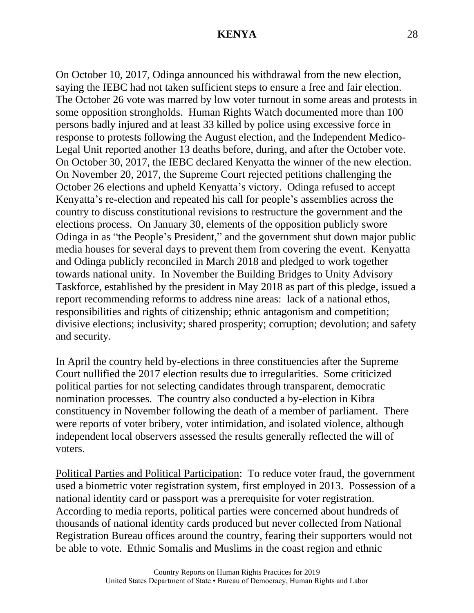On October 10, 2017, Odinga announced his withdrawal from the new election, saying the IEBC had not taken sufficient steps to ensure a free and fair election. The October 26 vote was marred by low voter turnout in some areas and protests in some opposition strongholds. Human Rights Watch documented more than 100 persons badly injured and at least 33 killed by police using excessive force in response to protests following the August election, and the Independent Medico-Legal Unit reported another 13 deaths before, during, and after the October vote. On October 30, 2017, the IEBC declared Kenyatta the winner of the new election. On November 20, 2017, the Supreme Court rejected petitions challenging the October 26 elections and upheld Kenyatta's victory. Odinga refused to accept Kenyatta's re-election and repeated his call for people's assemblies across the country to discuss constitutional revisions to restructure the government and the elections process. On January 30, elements of the opposition publicly swore Odinga in as "the People's President," and the government shut down major public media houses for several days to prevent them from covering the event. Kenyatta and Odinga publicly reconciled in March 2018 and pledged to work together towards national unity. In November the Building Bridges to Unity Advisory Taskforce, established by the president in May 2018 as part of this pledge, issued a report recommending reforms to address nine areas: lack of a national ethos, responsibilities and rights of citizenship; ethnic antagonism and competition; divisive elections; inclusivity; shared prosperity; corruption; devolution; and safety and security.

In April the country held by-elections in three constituencies after the Supreme Court nullified the 2017 election results due to irregularities. Some criticized political parties for not selecting candidates through transparent, democratic nomination processes. The country also conducted a by-election in Kibra constituency in November following the death of a member of parliament. There were reports of voter bribery, voter intimidation, and isolated violence, although independent local observers assessed the results generally reflected the will of voters.

Political Parties and Political Participation: To reduce voter fraud, the government used a biometric voter registration system, first employed in 2013. Possession of a national identity card or passport was a prerequisite for voter registration. According to media reports, political parties were concerned about hundreds of thousands of national identity cards produced but never collected from National Registration Bureau offices around the country, fearing their supporters would not be able to vote. Ethnic Somalis and Muslims in the coast region and ethnic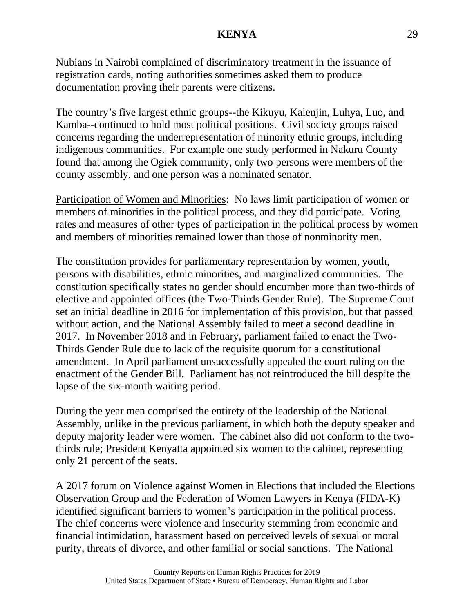Nubians in Nairobi complained of discriminatory treatment in the issuance of registration cards, noting authorities sometimes asked them to produce documentation proving their parents were citizens.

The country's five largest ethnic groups--the Kikuyu, Kalenjin, Luhya, Luo, and Kamba--continued to hold most political positions. Civil society groups raised concerns regarding the underrepresentation of minority ethnic groups, including indigenous communities. For example one study performed in Nakuru County found that among the Ogiek community, only two persons were members of the county assembly, and one person was a nominated senator.

Participation of Women and Minorities: No laws limit participation of women or members of minorities in the political process, and they did participate. Voting rates and measures of other types of participation in the political process by women and members of minorities remained lower than those of nonminority men.

The constitution provides for parliamentary representation by women, youth, persons with disabilities, ethnic minorities, and marginalized communities. The constitution specifically states no gender should encumber more than two-thirds of elective and appointed offices (the Two-Thirds Gender Rule). The Supreme Court set an initial deadline in 2016 for implementation of this provision, but that passed without action, and the National Assembly failed to meet a second deadline in 2017. In November 2018 and in February, parliament failed to enact the Two-Thirds Gender Rule due to lack of the requisite quorum for a constitutional amendment. In April parliament unsuccessfully appealed the court ruling on the enactment of the Gender Bill. Parliament has not reintroduced the bill despite the lapse of the six-month waiting period.

During the year men comprised the entirety of the leadership of the National Assembly, unlike in the previous parliament, in which both the deputy speaker and deputy majority leader were women. The cabinet also did not conform to the twothirds rule; President Kenyatta appointed six women to the cabinet, representing only 21 percent of the seats.

A 2017 forum on Violence against Women in Elections that included the Elections Observation Group and the Federation of Women Lawyers in Kenya (FIDA-K) identified significant barriers to women's participation in the political process. The chief concerns were violence and insecurity stemming from economic and financial intimidation, harassment based on perceived levels of sexual or moral purity, threats of divorce, and other familial or social sanctions. The National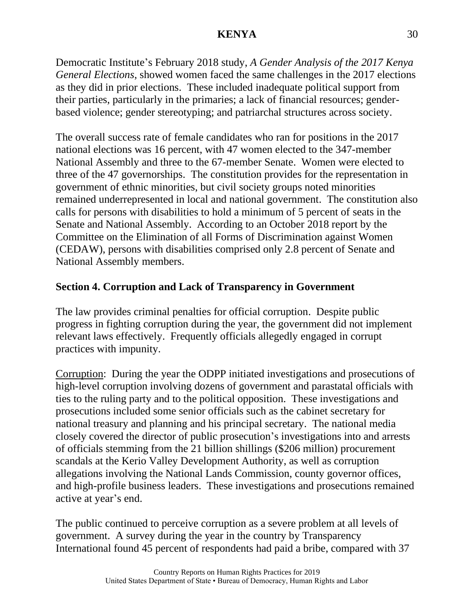Democratic Institute's February 2018 study, *A Gender Analysis of the 2017 Kenya General Elections*, showed women faced the same challenges in the 2017 elections as they did in prior elections. These included inadequate political support from their parties, particularly in the primaries; a lack of financial resources; genderbased violence; gender stereotyping; and patriarchal structures across society.

The overall success rate of female candidates who ran for positions in the 2017 national elections was 16 percent, with 47 women elected to the 347-member National Assembly and three to the 67-member Senate. Women were elected to three of the 47 governorships. The constitution provides for the representation in government of ethnic minorities, but civil society groups noted minorities remained underrepresented in local and national government. The constitution also calls for persons with disabilities to hold a minimum of 5 percent of seats in the Senate and National Assembly. According to an October 2018 report by the Committee on the Elimination of all Forms of Discrimination against Women (CEDAW), persons with disabilities comprised only 2.8 percent of Senate and National Assembly members.

# **Section 4. Corruption and Lack of Transparency in Government**

The law provides criminal penalties for official corruption. Despite public progress in fighting corruption during the year, the government did not implement relevant laws effectively. Frequently officials allegedly engaged in corrupt practices with impunity.

Corruption: During the year the ODPP initiated investigations and prosecutions of high-level corruption involving dozens of government and parastatal officials with ties to the ruling party and to the political opposition. These investigations and prosecutions included some senior officials such as the cabinet secretary for national treasury and planning and his principal secretary. The national media closely covered the director of public prosecution's investigations into and arrests of officials stemming from the 21 billion shillings (\$206 million) procurement scandals at the Kerio Valley Development Authority, as well as corruption allegations involving the National Lands Commission, county governor offices, and high-profile business leaders. These investigations and prosecutions remained active at year's end.

The public continued to perceive corruption as a severe problem at all levels of government. A survey during the year in the country by Transparency International found 45 percent of respondents had paid a bribe, compared with 37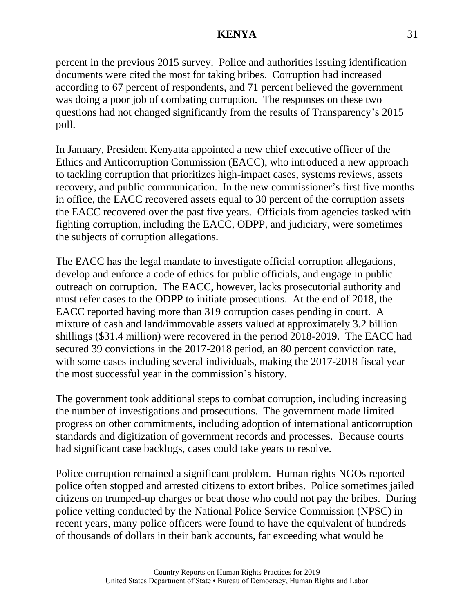percent in the previous 2015 survey. Police and authorities issuing identification documents were cited the most for taking bribes. Corruption had increased according to 67 percent of respondents, and 71 percent believed the government was doing a poor job of combating corruption. The responses on these two questions had not changed significantly from the results of Transparency's 2015 poll.

In January, President Kenyatta appointed a new chief executive officer of the Ethics and Anticorruption Commission (EACC), who introduced a new approach to tackling corruption that prioritizes high-impact cases, systems reviews, assets recovery, and public communication. In the new commissioner's first five months in office, the EACC recovered assets equal to 30 percent of the corruption assets the EACC recovered over the past five years. Officials from agencies tasked with fighting corruption, including the EACC, ODPP, and judiciary, were sometimes the subjects of corruption allegations.

The EACC has the legal mandate to investigate official corruption allegations, develop and enforce a code of ethics for public officials, and engage in public outreach on corruption. The EACC, however, lacks prosecutorial authority and must refer cases to the ODPP to initiate prosecutions. At the end of 2018, the EACC reported having more than 319 corruption cases pending in court. A mixture of cash and land/immovable assets valued at approximately 3.2 billion shillings (\$31.4 million) were recovered in the period 2018-2019. The EACC had secured 39 convictions in the 2017-2018 period, an 80 percent conviction rate, with some cases including several individuals, making the 2017-2018 fiscal year the most successful year in the commission's history.

The government took additional steps to combat corruption, including increasing the number of investigations and prosecutions. The government made limited progress on other commitments, including adoption of international anticorruption standards and digitization of government records and processes. Because courts had significant case backlogs, cases could take years to resolve.

Police corruption remained a significant problem. Human rights NGOs reported police often stopped and arrested citizens to extort bribes. Police sometimes jailed citizens on trumped-up charges or beat those who could not pay the bribes. During police vetting conducted by the National Police Service Commission (NPSC) in recent years, many police officers were found to have the equivalent of hundreds of thousands of dollars in their bank accounts, far exceeding what would be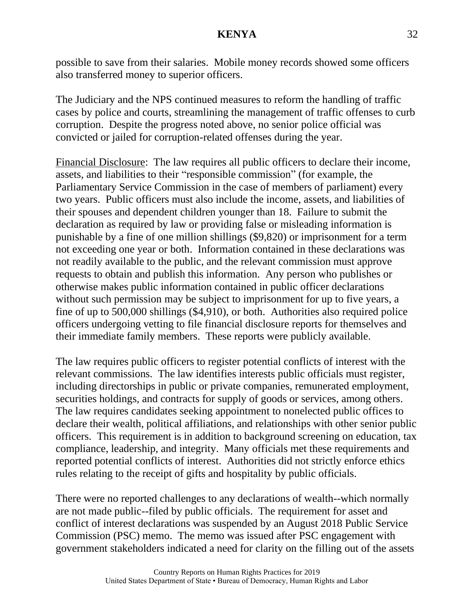possible to save from their salaries. Mobile money records showed some officers also transferred money to superior officers.

The Judiciary and the NPS continued measures to reform the handling of traffic cases by police and courts, streamlining the management of traffic offenses to curb corruption. Despite the progress noted above, no senior police official was convicted or jailed for corruption-related offenses during the year.

Financial Disclosure: The law requires all public officers to declare their income, assets, and liabilities to their "responsible commission" (for example, the Parliamentary Service Commission in the case of members of parliament) every two years. Public officers must also include the income, assets, and liabilities of their spouses and dependent children younger than 18. Failure to submit the declaration as required by law or providing false or misleading information is punishable by a fine of one million shillings (\$9,820) or imprisonment for a term not exceeding one year or both. Information contained in these declarations was not readily available to the public, and the relevant commission must approve requests to obtain and publish this information. Any person who publishes or otherwise makes public information contained in public officer declarations without such permission may be subject to imprisonment for up to five years, a fine of up to 500,000 shillings (\$4,910), or both. Authorities also required police officers undergoing vetting to file financial disclosure reports for themselves and their immediate family members. These reports were publicly available.

The law requires public officers to register potential conflicts of interest with the relevant commissions. The law identifies interests public officials must register, including directorships in public or private companies, remunerated employment, securities holdings, and contracts for supply of goods or services, among others. The law requires candidates seeking appointment to nonelected public offices to declare their wealth, political affiliations, and relationships with other senior public officers. This requirement is in addition to background screening on education, tax compliance, leadership, and integrity. Many officials met these requirements and reported potential conflicts of interest. Authorities did not strictly enforce ethics rules relating to the receipt of gifts and hospitality by public officials.

There were no reported challenges to any declarations of wealth--which normally are not made public--filed by public officials. The requirement for asset and conflict of interest declarations was suspended by an August 2018 Public Service Commission (PSC) memo. The memo was issued after PSC engagement with government stakeholders indicated a need for clarity on the filling out of the assets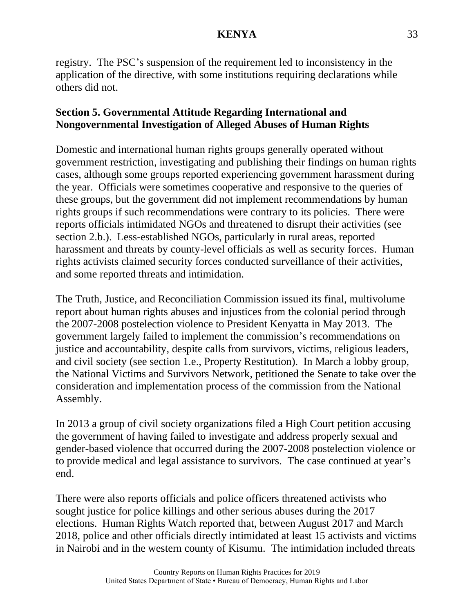registry. The PSC's suspension of the requirement led to inconsistency in the application of the directive, with some institutions requiring declarations while others did not.

# **Section 5. Governmental Attitude Regarding International and Nongovernmental Investigation of Alleged Abuses of Human Rights**

Domestic and international human rights groups generally operated without government restriction, investigating and publishing their findings on human rights cases, although some groups reported experiencing government harassment during the year. Officials were sometimes cooperative and responsive to the queries of these groups, but the government did not implement recommendations by human rights groups if such recommendations were contrary to its policies. There were reports officials intimidated NGOs and threatened to disrupt their activities (see section 2.b.). Less-established NGOs, particularly in rural areas, reported harassment and threats by county-level officials as well as security forces. Human rights activists claimed security forces conducted surveillance of their activities, and some reported threats and intimidation.

The Truth, Justice, and Reconciliation Commission issued its final, multivolume report about human rights abuses and injustices from the colonial period through the 2007-2008 postelection violence to President Kenyatta in May 2013. The government largely failed to implement the commission's recommendations on justice and accountability, despite calls from survivors, victims, religious leaders, and civil society (see section 1.e., Property Restitution). In March a lobby group, the National Victims and Survivors Network, petitioned the Senate to take over the consideration and implementation process of the commission from the National Assembly.

In 2013 a group of civil society organizations filed a High Court petition accusing the government of having failed to investigate and address properly sexual and gender-based violence that occurred during the 2007-2008 postelection violence or to provide medical and legal assistance to survivors. The case continued at year's end.

There were also reports officials and police officers threatened activists who sought justice for police killings and other serious abuses during the 2017 elections. Human Rights Watch reported that, between August 2017 and March 2018, police and other officials directly intimidated at least 15 activists and victims in Nairobi and in the western county of Kisumu. The intimidation included threats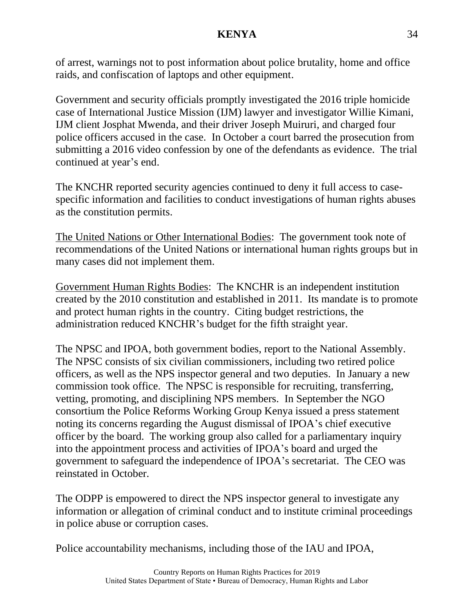of arrest, warnings not to post information about police brutality, home and office raids, and confiscation of laptops and other equipment.

Government and security officials promptly investigated the 2016 triple homicide case of International Justice Mission (IJM) lawyer and investigator Willie Kimani, IJM client Josphat Mwenda, and their driver Joseph Muiruri, and charged four police officers accused in the case. In October a court barred the prosecution from submitting a 2016 video confession by one of the defendants as evidence. The trial continued at year's end.

The KNCHR reported security agencies continued to deny it full access to casespecific information and facilities to conduct investigations of human rights abuses as the constitution permits.

The United Nations or Other International Bodies: The government took note of recommendations of the United Nations or international human rights groups but in many cases did not implement them.

Government Human Rights Bodies: The KNCHR is an independent institution created by the 2010 constitution and established in 2011. Its mandate is to promote and protect human rights in the country. Citing budget restrictions, the administration reduced KNCHR's budget for the fifth straight year.

The NPSC and IPOA, both government bodies, report to the National Assembly. The NPSC consists of six civilian commissioners, including two retired police officers, as well as the NPS inspector general and two deputies. In January a new commission took office. The NPSC is responsible for recruiting, transferring, vetting, promoting, and disciplining NPS members. In September the NGO consortium the Police Reforms Working Group Kenya issued a press statement noting its concerns regarding the August dismissal of IPOA's chief executive officer by the board. The working group also called for a parliamentary inquiry into the appointment process and activities of IPOA's board and urged the government to safeguard the independence of IPOA's secretariat. The CEO was reinstated in October.

The ODPP is empowered to direct the NPS inspector general to investigate any information or allegation of criminal conduct and to institute criminal proceedings in police abuse or corruption cases.

Police accountability mechanisms, including those of the IAU and IPOA,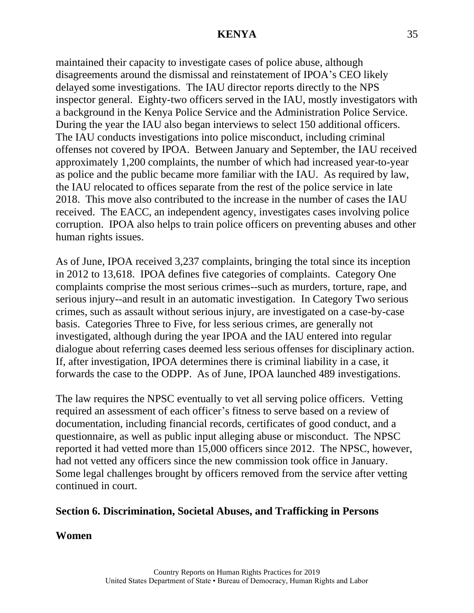maintained their capacity to investigate cases of police abuse, although disagreements around the dismissal and reinstatement of IPOA's CEO likely delayed some investigations. The IAU director reports directly to the NPS inspector general. Eighty-two officers served in the IAU, mostly investigators with a background in the Kenya Police Service and the Administration Police Service. During the year the IAU also began interviews to select 150 additional officers. The IAU conducts investigations into police misconduct, including criminal offenses not covered by IPOA. Between January and September, the IAU received approximately 1,200 complaints, the number of which had increased year-to-year as police and the public became more familiar with the IAU. As required by law, the IAU relocated to offices separate from the rest of the police service in late 2018. This move also contributed to the increase in the number of cases the IAU received. The EACC, an independent agency, investigates cases involving police corruption. IPOA also helps to train police officers on preventing abuses and other human rights issues.

As of June, IPOA received 3,237 complaints, bringing the total since its inception in 2012 to 13,618. IPOA defines five categories of complaints. Category One complaints comprise the most serious crimes--such as murders, torture, rape, and serious injury--and result in an automatic investigation. In Category Two serious crimes, such as assault without serious injury, are investigated on a case-by-case basis. Categories Three to Five, for less serious crimes, are generally not investigated, although during the year IPOA and the IAU entered into regular dialogue about referring cases deemed less serious offenses for disciplinary action. If, after investigation, IPOA determines there is criminal liability in a case, it forwards the case to the ODPP. As of June, IPOA launched 489 investigations.

The law requires the NPSC eventually to vet all serving police officers. Vetting required an assessment of each officer's fitness to serve based on a review of documentation, including financial records, certificates of good conduct, and a questionnaire, as well as public input alleging abuse or misconduct. The NPSC reported it had vetted more than 15,000 officers since 2012. The NPSC, however, had not vetted any officers since the new commission took office in January. Some legal challenges brought by officers removed from the service after vetting continued in court.

#### **Section 6. Discrimination, Societal Abuses, and Trafficking in Persons**

#### **Women**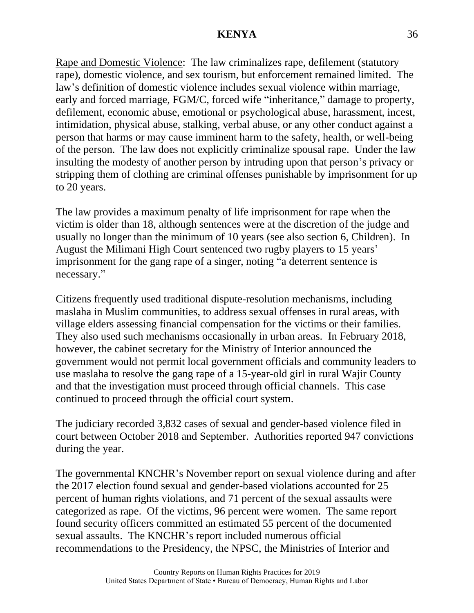Rape and Domestic Violence: The law criminalizes rape, defilement (statutory rape), domestic violence, and sex tourism, but enforcement remained limited. The law's definition of domestic violence includes sexual violence within marriage, early and forced marriage, FGM/C, forced wife "inheritance," damage to property, defilement, economic abuse, emotional or psychological abuse, harassment, incest, intimidation, physical abuse, stalking, verbal abuse, or any other conduct against a person that harms or may cause imminent harm to the safety, health, or well-being of the person. The law does not explicitly criminalize spousal rape. Under the law insulting the modesty of another person by intruding upon that person's privacy or stripping them of clothing are criminal offenses punishable by imprisonment for up to 20 years.

The law provides a maximum penalty of life imprisonment for rape when the victim is older than 18, although sentences were at the discretion of the judge and usually no longer than the minimum of 10 years (see also section 6, Children). In August the Milimani High Court sentenced two rugby players to 15 years' imprisonment for the gang rape of a singer, noting "a deterrent sentence is necessary."

Citizens frequently used traditional dispute-resolution mechanisms, including maslaha in Muslim communities, to address sexual offenses in rural areas, with village elders assessing financial compensation for the victims or their families. They also used such mechanisms occasionally in urban areas. In February 2018, however, the cabinet secretary for the Ministry of Interior announced the government would not permit local government officials and community leaders to use maslaha to resolve the gang rape of a 15-year-old girl in rural Wajir County and that the investigation must proceed through official channels. This case continued to proceed through the official court system.

The judiciary recorded 3,832 cases of sexual and gender-based violence filed in court between October 2018 and September. Authorities reported 947 convictions during the year.

The governmental KNCHR's November report on sexual violence during and after the 2017 election found sexual and gender-based violations accounted for 25 percent of human rights violations, and 71 percent of the sexual assaults were categorized as rape. Of the victims, 96 percent were women. The same report found security officers committed an estimated 55 percent of the documented sexual assaults. The KNCHR's report included numerous official recommendations to the Presidency, the NPSC, the Ministries of Interior and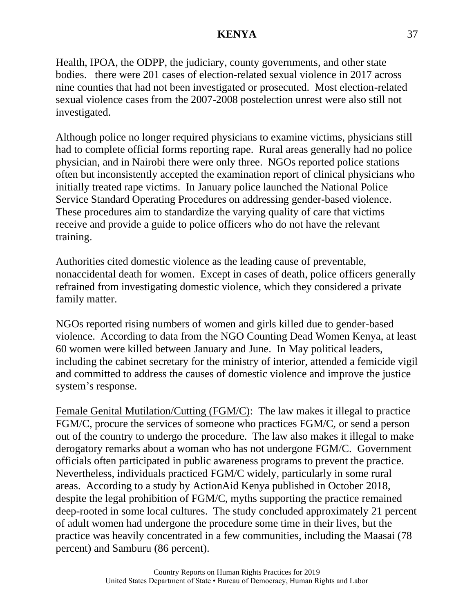Health, IPOA, the ODPP, the judiciary, county governments, and other state bodies. there were 201 cases of election-related sexual violence in 2017 across nine counties that had not been investigated or prosecuted. Most election-related sexual violence cases from the 2007-2008 postelection unrest were also still not investigated.

Although police no longer required physicians to examine victims, physicians still had to complete official forms reporting rape. Rural areas generally had no police physician, and in Nairobi there were only three. NGOs reported police stations often but inconsistently accepted the examination report of clinical physicians who initially treated rape victims. In January police launched the National Police Service Standard Operating Procedures on addressing gender-based violence. These procedures aim to standardize the varying quality of care that victims receive and provide a guide to police officers who do not have the relevant training.

Authorities cited domestic violence as the leading cause of preventable, nonaccidental death for women. Except in cases of death, police officers generally refrained from investigating domestic violence, which they considered a private family matter.

NGOs reported rising numbers of women and girls killed due to gender-based violence. According to data from the NGO Counting Dead Women Kenya, at least 60 women were killed between January and June. In May political leaders, including the cabinet secretary for the ministry of interior, attended a femicide vigil and committed to address the causes of domestic violence and improve the justice system's response.

Female Genital Mutilation/Cutting (FGM/C): The law makes it illegal to practice FGM/C, procure the services of someone who practices FGM/C, or send a person out of the country to undergo the procedure. The law also makes it illegal to make derogatory remarks about a woman who has not undergone FGM/C. Government officials often participated in public awareness programs to prevent the practice. Nevertheless, individuals practiced FGM/C widely, particularly in some rural areas. According to a study by ActionAid Kenya published in October 2018, despite the legal prohibition of FGM/C, myths supporting the practice remained deep-rooted in some local cultures. The study concluded approximately 21 percent of adult women had undergone the procedure some time in their lives, but the practice was heavily concentrated in a few communities, including the Maasai (78 percent) and Samburu (86 percent).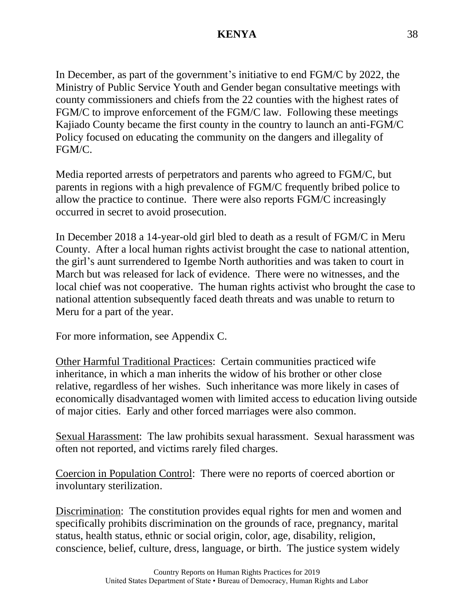In December, as part of the government's initiative to end FGM/C by 2022, the Ministry of Public Service Youth and Gender began consultative meetings with county commissioners and chiefs from the 22 counties with the highest rates of FGM/C to improve enforcement of the FGM/C law. Following these meetings Kajiado County became the first county in the country to launch an anti-FGM/C Policy focused on educating the community on the dangers and illegality of FGM/C.

Media reported arrests of perpetrators and parents who agreed to FGM/C, but parents in regions with a high prevalence of FGM/C frequently bribed police to allow the practice to continue. There were also reports FGM/C increasingly occurred in secret to avoid prosecution.

In December 2018 a 14-year-old girl bled to death as a result of FGM/C in Meru County. After a local human rights activist brought the case to national attention, the girl's aunt surrendered to Igembe North authorities and was taken to court in March but was released for lack of evidence. There were no witnesses, and the local chief was not cooperative. The human rights activist who brought the case to national attention subsequently faced death threats and was unable to return to Meru for a part of the year.

For more information, see Appendix C.

Other Harmful Traditional Practices: Certain communities practiced wife inheritance, in which a man inherits the widow of his brother or other close relative, regardless of her wishes. Such inheritance was more likely in cases of economically disadvantaged women with limited access to education living outside of major cities. Early and other forced marriages were also common.

Sexual Harassment: The law prohibits sexual harassment. Sexual harassment was often not reported, and victims rarely filed charges.

Coercion in Population Control: There were no reports of coerced abortion or involuntary sterilization.

Discrimination: The constitution provides equal rights for men and women and specifically prohibits discrimination on the grounds of race, pregnancy, marital status, health status, ethnic or social origin, color, age, disability, religion, conscience, belief, culture, dress, language, or birth. The justice system widely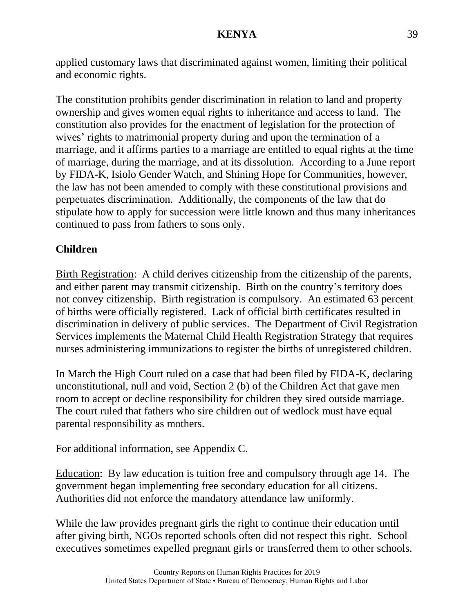applied customary laws that discriminated against women, limiting their political and economic rights.

The constitution prohibits gender discrimination in relation to land and property ownership and gives women equal rights to inheritance and access to land. The constitution also provides for the enactment of legislation for the protection of wives' rights to matrimonial property during and upon the termination of a marriage, and it affirms parties to a marriage are entitled to equal rights at the time of marriage, during the marriage, and at its dissolution. According to a June report by FIDA-K, Isiolo Gender Watch, and Shining Hope for Communities, however, the law has not been amended to comply with these constitutional provisions and perpetuates discrimination. Additionally, the components of the law that do stipulate how to apply for succession were little known and thus many inheritances continued to pass from fathers to sons only.

# **Children**

Birth Registration: A child derives citizenship from the citizenship of the parents, and either parent may transmit citizenship. Birth on the country's territory does not convey citizenship. Birth registration is compulsory. An estimated 63 percent of births were officially registered. Lack of official birth certificates resulted in discrimination in delivery of public services. The Department of Civil Registration Services implements the Maternal Child Health Registration Strategy that requires nurses administering immunizations to register the births of unregistered children.

In March the High Court ruled on a case that had been filed by FIDA-K, declaring unconstitutional, null and void, Section 2 (b) of the Children Act that gave men room to accept or decline responsibility for children they sired outside marriage. The court ruled that fathers who sire children out of wedlock must have equal parental responsibility as mothers.

For additional information, see Appendix C.

Education: By law education is tuition free and compulsory through age 14. The government began implementing free secondary education for all citizens. Authorities did not enforce the mandatory attendance law uniformly.

While the law provides pregnant girls the right to continue their education until after giving birth, NGOs reported schools often did not respect this right. School executives sometimes expelled pregnant girls or transferred them to other schools.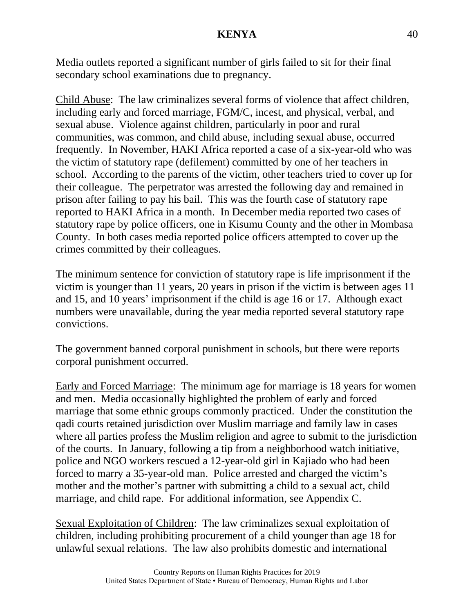Media outlets reported a significant number of girls failed to sit for their final secondary school examinations due to pregnancy.

Child Abuse: The law criminalizes several forms of violence that affect children, including early and forced marriage, FGM/C, incest, and physical, verbal, and sexual abuse. Violence against children, particularly in poor and rural communities, was common, and child abuse, including sexual abuse, occurred frequently. In November, HAKI Africa reported a case of a six-year-old who was the victim of statutory rape (defilement) committed by one of her teachers in school. According to the parents of the victim, other teachers tried to cover up for their colleague. The perpetrator was arrested the following day and remained in prison after failing to pay his bail. This was the fourth case of statutory rape reported to HAKI Africa in a month. In December media reported two cases of statutory rape by police officers, one in Kisumu County and the other in Mombasa County. In both cases media reported police officers attempted to cover up the crimes committed by their colleagues.

The minimum sentence for conviction of statutory rape is life imprisonment if the victim is younger than 11 years, 20 years in prison if the victim is between ages 11 and 15, and 10 years' imprisonment if the child is age 16 or 17. Although exact numbers were unavailable, during the year media reported several statutory rape convictions.

The government banned corporal punishment in schools, but there were reports corporal punishment occurred.

Early and Forced Marriage: The minimum age for marriage is 18 years for women and men. Media occasionally highlighted the problem of early and forced marriage that some ethnic groups commonly practiced. Under the constitution the qadi courts retained jurisdiction over Muslim marriage and family law in cases where all parties profess the Muslim religion and agree to submit to the jurisdiction of the courts. In January, following a tip from a neighborhood watch initiative, police and NGO workers rescued a 12-year-old girl in Kajiado who had been forced to marry a 35-year-old man. Police arrested and charged the victim's mother and the mother's partner with submitting a child to a sexual act, child marriage, and child rape. For additional information, see Appendix C.

Sexual Exploitation of Children: The law criminalizes sexual exploitation of children, including prohibiting procurement of a child younger than age 18 for unlawful sexual relations. The law also prohibits domestic and international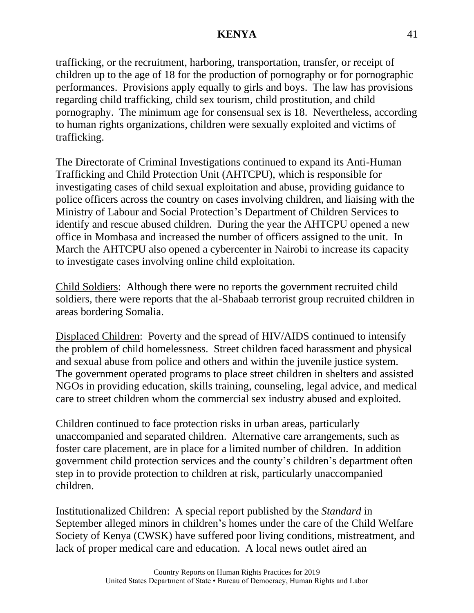trafficking, or the recruitment, harboring, transportation, transfer, or receipt of children up to the age of 18 for the production of pornography or for pornographic performances. Provisions apply equally to girls and boys. The law has provisions regarding child trafficking, child sex tourism, child prostitution, and child pornography. The minimum age for consensual sex is 18. Nevertheless, according to human rights organizations, children were sexually exploited and victims of trafficking.

The Directorate of Criminal Investigations continued to expand its Anti-Human Trafficking and Child Protection Unit (AHTCPU), which is responsible for investigating cases of child sexual exploitation and abuse, providing guidance to police officers across the country on cases involving children, and liaising with the Ministry of Labour and Social Protection's Department of Children Services to identify and rescue abused children. During the year the AHTCPU opened a new office in Mombasa and increased the number of officers assigned to the unit. In March the AHTCPU also opened a cybercenter in Nairobi to increase its capacity to investigate cases involving online child exploitation.

Child Soldiers: Although there were no reports the government recruited child soldiers, there were reports that the al-Shabaab terrorist group recruited children in areas bordering Somalia.

Displaced Children: Poverty and the spread of HIV/AIDS continued to intensify the problem of child homelessness. Street children faced harassment and physical and sexual abuse from police and others and within the juvenile justice system. The government operated programs to place street children in shelters and assisted NGOs in providing education, skills training, counseling, legal advice, and medical care to street children whom the commercial sex industry abused and exploited.

Children continued to face protection risks in urban areas, particularly unaccompanied and separated children. Alternative care arrangements, such as foster care placement, are in place for a limited number of children. In addition government child protection services and the county's children's department often step in to provide protection to children at risk, particularly unaccompanied children.

Institutionalized Children: A special report published by the *Standard* in September alleged minors in children's homes under the care of the Child Welfare Society of Kenya (CWSK) have suffered poor living conditions, mistreatment, and lack of proper medical care and education. A local news outlet aired an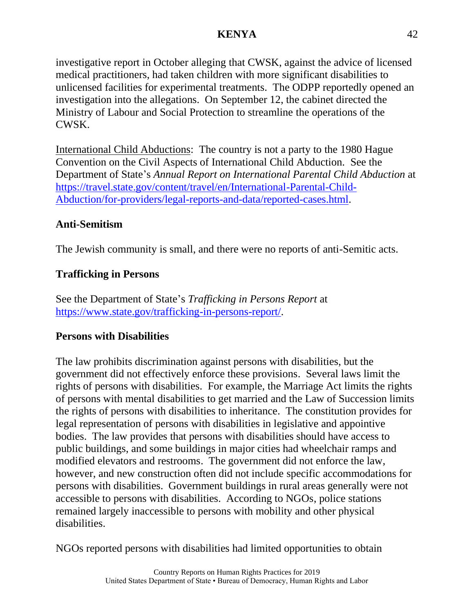investigative report in October alleging that CWSK, against the advice of licensed medical practitioners, had taken children with more significant disabilities to unlicensed facilities for experimental treatments. The ODPP reportedly opened an investigation into the allegations. On September 12, the cabinet directed the Ministry of Labour and Social Protection to streamline the operations of the CWSK.

International Child Abductions: The country is not a party to the 1980 Hague Convention on the Civil Aspects of International Child Abduction. See the Department of State's *Annual Report on International Parental Child Abduction* at [https://travel.state.gov/content/travel/en/International-Parental-Child-](http://travel.state.gov/content/travel/en/International-Parental-Child-Abduction/for-providers/legal-reports-and-data/reported-cases.html)[Abduction/for-providers/legal-reports-and-data/reported-cases.html.](http://travel.state.gov/content/travel/en/International-Parental-Child-Abduction/for-providers/legal-reports-and-data/reported-cases.html)

# **Anti-Semitism**

The Jewish community is small, and there were no reports of anti-Semitic acts.

# **Trafficking in Persons**

See the Department of State's *Trafficking in Persons Report* at [https://www.state.gov/trafficking-in-persons-report/.](https://www.state.gov/trafficking-in-persons-report/)

# **Persons with Disabilities**

The law prohibits discrimination against persons with disabilities, but the government did not effectively enforce these provisions. Several laws limit the rights of persons with disabilities. For example, the Marriage Act limits the rights of persons with mental disabilities to get married and the Law of Succession limits the rights of persons with disabilities to inheritance. The constitution provides for legal representation of persons with disabilities in legislative and appointive bodies. The law provides that persons with disabilities should have access to public buildings, and some buildings in major cities had wheelchair ramps and modified elevators and restrooms. The government did not enforce the law, however, and new construction often did not include specific accommodations for persons with disabilities. Government buildings in rural areas generally were not accessible to persons with disabilities. According to NGOs, police stations remained largely inaccessible to persons with mobility and other physical disabilities.

NGOs reported persons with disabilities had limited opportunities to obtain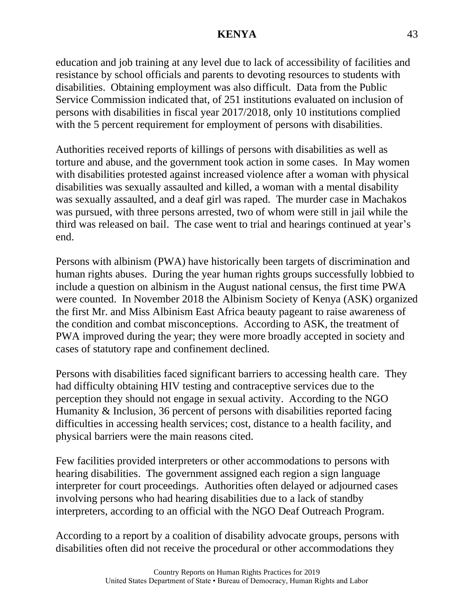education and job training at any level due to lack of accessibility of facilities and resistance by school officials and parents to devoting resources to students with disabilities. Obtaining employment was also difficult. Data from the Public Service Commission indicated that, of 251 institutions evaluated on inclusion of persons with disabilities in fiscal year 2017/2018, only 10 institutions complied with the 5 percent requirement for employment of persons with disabilities.

Authorities received reports of killings of persons with disabilities as well as torture and abuse, and the government took action in some cases. In May women with disabilities protested against increased violence after a woman with physical disabilities was sexually assaulted and killed, a woman with a mental disability was sexually assaulted, and a deaf girl was raped. The murder case in Machakos was pursued, with three persons arrested, two of whom were still in jail while the third was released on bail. The case went to trial and hearings continued at year's end.

Persons with albinism (PWA) have historically been targets of discrimination and human rights abuses. During the year human rights groups successfully lobbied to include a question on albinism in the August national census, the first time PWA were counted. In November 2018 the Albinism Society of Kenya (ASK) organized the first Mr. and Miss Albinism East Africa beauty pageant to raise awareness of the condition and combat misconceptions. According to ASK, the treatment of PWA improved during the year; they were more broadly accepted in society and cases of statutory rape and confinement declined.

Persons with disabilities faced significant barriers to accessing health care. They had difficulty obtaining HIV testing and contraceptive services due to the perception they should not engage in sexual activity. According to the NGO Humanity & Inclusion, 36 percent of persons with disabilities reported facing difficulties in accessing health services; cost, distance to a health facility, and physical barriers were the main reasons cited.

Few facilities provided interpreters or other accommodations to persons with hearing disabilities. The government assigned each region a sign language interpreter for court proceedings. Authorities often delayed or adjourned cases involving persons who had hearing disabilities due to a lack of standby interpreters, according to an official with the NGO Deaf Outreach Program.

According to a report by a coalition of disability advocate groups, persons with disabilities often did not receive the procedural or other accommodations they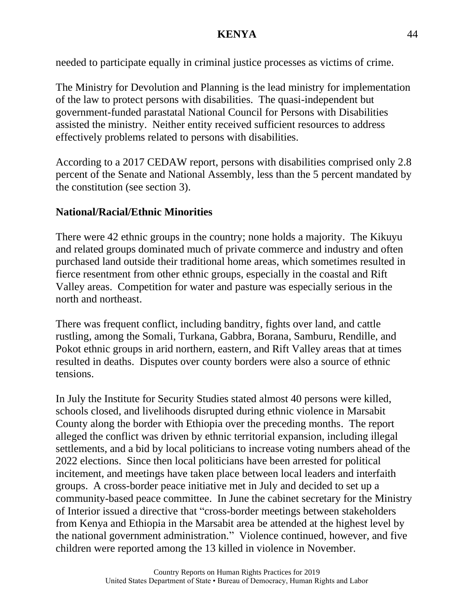needed to participate equally in criminal justice processes as victims of crime.

The Ministry for Devolution and Planning is the lead ministry for implementation of the law to protect persons with disabilities. The quasi-independent but government-funded parastatal National Council for Persons with Disabilities assisted the ministry. Neither entity received sufficient resources to address effectively problems related to persons with disabilities.

According to a 2017 CEDAW report, persons with disabilities comprised only 2.8 percent of the Senate and National Assembly, less than the 5 percent mandated by the constitution (see section 3).

# **National/Racial/Ethnic Minorities**

There were 42 ethnic groups in the country; none holds a majority. The Kikuyu and related groups dominated much of private commerce and industry and often purchased land outside their traditional home areas, which sometimes resulted in fierce resentment from other ethnic groups, especially in the coastal and Rift Valley areas. Competition for water and pasture was especially serious in the north and northeast.

There was frequent conflict, including banditry, fights over land, and cattle rustling, among the Somali, Turkana, Gabbra, Borana, Samburu, Rendille, and Pokot ethnic groups in arid northern, eastern, and Rift Valley areas that at times resulted in deaths. Disputes over county borders were also a source of ethnic tensions.

In July the Institute for Security Studies stated almost 40 persons were killed, schools closed, and livelihoods disrupted during ethnic violence in Marsabit County along the border with Ethiopia over the preceding months. The report alleged the conflict was driven by ethnic territorial expansion, including illegal settlements, and a bid by local politicians to increase voting numbers ahead of the 2022 elections. Since then local politicians have been arrested for political incitement, and meetings have taken place between local leaders and interfaith groups. A cross-border peace initiative met in July and decided to set up a community-based peace committee. In June the cabinet secretary for the Ministry of Interior issued a directive that "cross-border meetings between stakeholders from Kenya and Ethiopia in the Marsabit area be attended at the highest level by the national government administration." Violence continued, however, and five children were reported among the 13 killed in violence in November.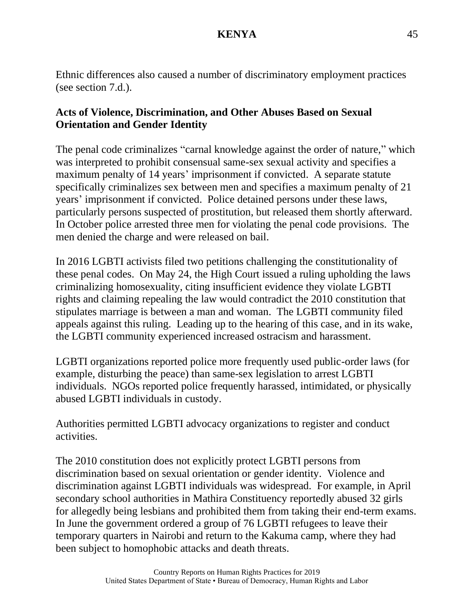Ethnic differences also caused a number of discriminatory employment practices (see section 7.d.).

# **Acts of Violence, Discrimination, and Other Abuses Based on Sexual Orientation and Gender Identity**

The penal code criminalizes "carnal knowledge against the order of nature," which was interpreted to prohibit consensual same-sex sexual activity and specifies a maximum penalty of 14 years' imprisonment if convicted. A separate statute specifically criminalizes sex between men and specifies a maximum penalty of 21 years' imprisonment if convicted. Police detained persons under these laws, particularly persons suspected of prostitution, but released them shortly afterward. In October police arrested three men for violating the penal code provisions. The men denied the charge and were released on bail.

In 2016 LGBTI activists filed two petitions challenging the constitutionality of these penal codes. On May 24, the High Court issued a ruling upholding the laws criminalizing homosexuality, citing insufficient evidence they violate LGBTI rights and claiming repealing the law would contradict the 2010 constitution that stipulates marriage is between a man and woman. The LGBTI community filed appeals against this ruling. Leading up to the hearing of this case, and in its wake, the LGBTI community experienced increased ostracism and harassment.

LGBTI organizations reported police more frequently used public-order laws (for example, disturbing the peace) than same-sex legislation to arrest LGBTI individuals. NGOs reported police frequently harassed, intimidated, or physically abused LGBTI individuals in custody.

Authorities permitted LGBTI advocacy organizations to register and conduct activities.

The 2010 constitution does not explicitly protect LGBTI persons from discrimination based on sexual orientation or gender identity. Violence and discrimination against LGBTI individuals was widespread. For example, in April secondary school authorities in Mathira Constituency reportedly abused 32 girls for allegedly being lesbians and prohibited them from taking their end-term exams. In June the government ordered a group of 76 LGBTI refugees to leave their temporary quarters in Nairobi and return to the Kakuma camp, where they had been subject to homophobic attacks and death threats.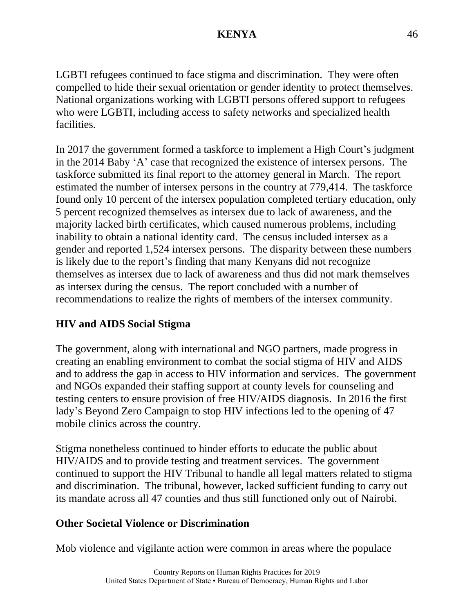LGBTI refugees continued to face stigma and discrimination. They were often compelled to hide their sexual orientation or gender identity to protect themselves. National organizations working with LGBTI persons offered support to refugees who were LGBTI, including access to safety networks and specialized health facilities.

In 2017 the government formed a taskforce to implement a High Court's judgment in the 2014 Baby 'A' case that recognized the existence of intersex persons. The taskforce submitted its final report to the attorney general in March. The report estimated the number of intersex persons in the country at 779,414. The taskforce found only 10 percent of the intersex population completed tertiary education, only 5 percent recognized themselves as intersex due to lack of awareness, and the majority lacked birth certificates, which caused numerous problems, including inability to obtain a national identity card. The census included intersex as a gender and reported 1,524 intersex persons. The disparity between these numbers is likely due to the report's finding that many Kenyans did not recognize themselves as intersex due to lack of awareness and thus did not mark themselves as intersex during the census. The report concluded with a number of recommendations to realize the rights of members of the intersex community.

# **HIV and AIDS Social Stigma**

The government, along with international and NGO partners, made progress in creating an enabling environment to combat the social stigma of HIV and AIDS and to address the gap in access to HIV information and services. The government and NGOs expanded their staffing support at county levels for counseling and testing centers to ensure provision of free HIV/AIDS diagnosis. In 2016 the first lady's Beyond Zero Campaign to stop HIV infections led to the opening of 47 mobile clinics across the country.

Stigma nonetheless continued to hinder efforts to educate the public about HIV/AIDS and to provide testing and treatment services. The government continued to support the HIV Tribunal to handle all legal matters related to stigma and discrimination. The tribunal, however, lacked sufficient funding to carry out its mandate across all 47 counties and thus still functioned only out of Nairobi.

#### **Other Societal Violence or Discrimination**

Mob violence and vigilante action were common in areas where the populace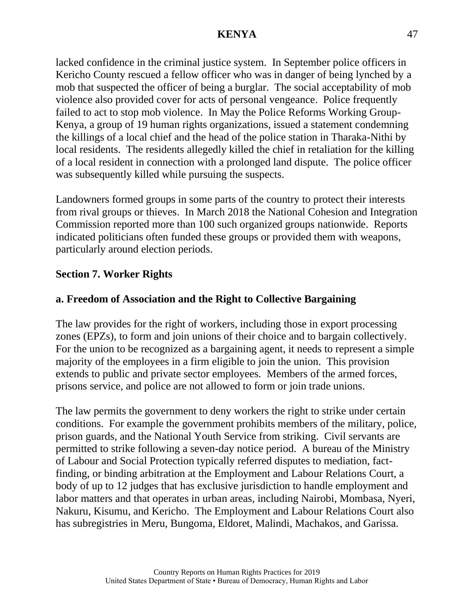lacked confidence in the criminal justice system. In September police officers in Kericho County rescued a fellow officer who was in danger of being lynched by a mob that suspected the officer of being a burglar. The social acceptability of mob violence also provided cover for acts of personal vengeance. Police frequently failed to act to stop mob violence. In May the Police Reforms Working Group-Kenya, a group of 19 human rights organizations, issued a statement condemning the killings of a local chief and the head of the police station in Tharaka-Nithi by local residents. The residents allegedly killed the chief in retaliation for the killing of a local resident in connection with a prolonged land dispute. The police officer was subsequently killed while pursuing the suspects.

Landowners formed groups in some parts of the country to protect their interests from rival groups or thieves. In March 2018 the National Cohesion and Integration Commission reported more than 100 such organized groups nationwide. Reports indicated politicians often funded these groups or provided them with weapons, particularly around election periods.

# **Section 7. Worker Rights**

## **a. Freedom of Association and the Right to Collective Bargaining**

The law provides for the right of workers, including those in export processing zones (EPZs), to form and join unions of their choice and to bargain collectively. For the union to be recognized as a bargaining agent, it needs to represent a simple majority of the employees in a firm eligible to join the union. This provision extends to public and private sector employees. Members of the armed forces, prisons service, and police are not allowed to form or join trade unions.

The law permits the government to deny workers the right to strike under certain conditions. For example the government prohibits members of the military, police, prison guards, and the National Youth Service from striking. Civil servants are permitted to strike following a seven-day notice period. A bureau of the Ministry of Labour and Social Protection typically referred disputes to mediation, factfinding, or binding arbitration at the Employment and Labour Relations Court, a body of up to 12 judges that has exclusive jurisdiction to handle employment and labor matters and that operates in urban areas, including Nairobi, Mombasa, Nyeri, Nakuru, Kisumu, and Kericho. The Employment and Labour Relations Court also has subregistries in Meru, Bungoma, Eldoret, Malindi, Machakos, and Garissa.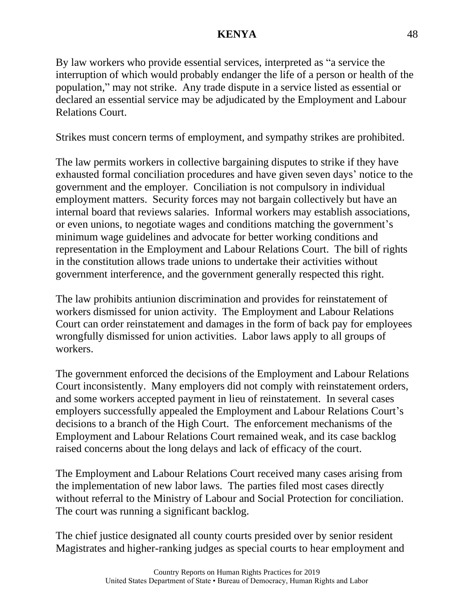By law workers who provide essential services, interpreted as "a service the interruption of which would probably endanger the life of a person or health of the population," may not strike. Any trade dispute in a service listed as essential or declared an essential service may be adjudicated by the Employment and Labour Relations Court.

Strikes must concern terms of employment, and sympathy strikes are prohibited.

The law permits workers in collective bargaining disputes to strike if they have exhausted formal conciliation procedures and have given seven days' notice to the government and the employer. Conciliation is not compulsory in individual employment matters. Security forces may not bargain collectively but have an internal board that reviews salaries. Informal workers may establish associations, or even unions, to negotiate wages and conditions matching the government's minimum wage guidelines and advocate for better working conditions and representation in the Employment and Labour Relations Court. The bill of rights in the constitution allows trade unions to undertake their activities without government interference, and the government generally respected this right.

The law prohibits antiunion discrimination and provides for reinstatement of workers dismissed for union activity. The Employment and Labour Relations Court can order reinstatement and damages in the form of back pay for employees wrongfully dismissed for union activities. Labor laws apply to all groups of workers.

The government enforced the decisions of the Employment and Labour Relations Court inconsistently. Many employers did not comply with reinstatement orders, and some workers accepted payment in lieu of reinstatement. In several cases employers successfully appealed the Employment and Labour Relations Court's decisions to a branch of the High Court. The enforcement mechanisms of the Employment and Labour Relations Court remained weak, and its case backlog raised concerns about the long delays and lack of efficacy of the court.

The Employment and Labour Relations Court received many cases arising from the implementation of new labor laws. The parties filed most cases directly without referral to the Ministry of Labour and Social Protection for conciliation. The court was running a significant backlog.

The chief justice designated all county courts presided over by senior resident Magistrates and higher-ranking judges as special courts to hear employment and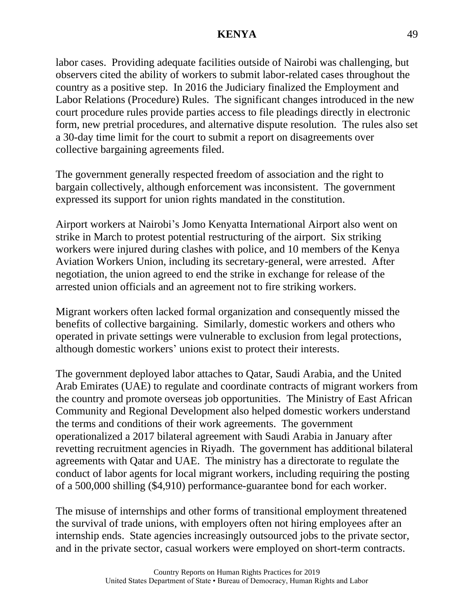labor cases. Providing adequate facilities outside of Nairobi was challenging, but observers cited the ability of workers to submit labor-related cases throughout the country as a positive step. In 2016 the Judiciary finalized the Employment and Labor Relations (Procedure) Rules. The significant changes introduced in the new court procedure rules provide parties access to file pleadings directly in electronic form, new pretrial procedures, and alternative dispute resolution. The rules also set a 30-day time limit for the court to submit a report on disagreements over collective bargaining agreements filed.

The government generally respected freedom of association and the right to bargain collectively, although enforcement was inconsistent. The government expressed its support for union rights mandated in the constitution.

Airport workers at Nairobi's Jomo Kenyatta International Airport also went on strike in March to protest potential restructuring of the airport. Six striking workers were injured during clashes with police, and 10 members of the Kenya Aviation Workers Union, including its secretary-general, were arrested. After negotiation, the union agreed to end the strike in exchange for release of the arrested union officials and an agreement not to fire striking workers.

Migrant workers often lacked formal organization and consequently missed the benefits of collective bargaining. Similarly, domestic workers and others who operated in private settings were vulnerable to exclusion from legal protections, although domestic workers' unions exist to protect their interests.

The government deployed labor attaches to Qatar, Saudi Arabia, and the United Arab Emirates (UAE) to regulate and coordinate contracts of migrant workers from the country and promote overseas job opportunities. The Ministry of East African Community and Regional Development also helped domestic workers understand the terms and conditions of their work agreements. The government operationalized a 2017 bilateral agreement with Saudi Arabia in January after revetting recruitment agencies in Riyadh. The government has additional bilateral agreements with Qatar and UAE. The ministry has a directorate to regulate the conduct of labor agents for local migrant workers, including requiring the posting of a 500,000 shilling (\$4,910) performance-guarantee bond for each worker.

The misuse of internships and other forms of transitional employment threatened the survival of trade unions, with employers often not hiring employees after an internship ends. State agencies increasingly outsourced jobs to the private sector, and in the private sector, casual workers were employed on short-term contracts.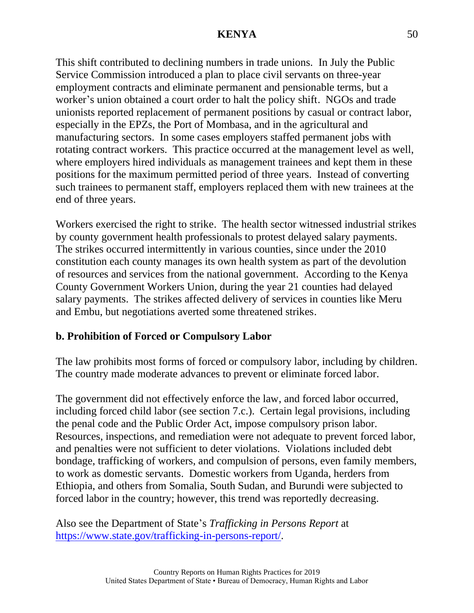This shift contributed to declining numbers in trade unions. In July the Public Service Commission introduced a plan to place civil servants on three-year employment contracts and eliminate permanent and pensionable terms, but a worker's union obtained a court order to halt the policy shift. NGOs and trade unionists reported replacement of permanent positions by casual or contract labor, especially in the EPZs, the Port of Mombasa, and in the agricultural and manufacturing sectors. In some cases employers staffed permanent jobs with rotating contract workers. This practice occurred at the management level as well, where employers hired individuals as management trainees and kept them in these positions for the maximum permitted period of three years. Instead of converting such trainees to permanent staff, employers replaced them with new trainees at the end of three years.

Workers exercised the right to strike. The health sector witnessed industrial strikes by county government health professionals to protest delayed salary payments. The strikes occurred intermittently in various counties, since under the 2010 constitution each county manages its own health system as part of the devolution of resources and services from the national government. According to the Kenya County Government Workers Union, during the year 21 counties had delayed salary payments. The strikes affected delivery of services in counties like Meru and Embu, but negotiations averted some threatened strikes.

# **b. Prohibition of Forced or Compulsory Labor**

The law prohibits most forms of forced or compulsory labor, including by children. The country made moderate advances to prevent or eliminate forced labor.

The government did not effectively enforce the law, and forced labor occurred, including forced child labor (see section 7.c.). Certain legal provisions, including the penal code and the Public Order Act, impose compulsory prison labor. Resources, inspections, and remediation were not adequate to prevent forced labor, and penalties were not sufficient to deter violations. Violations included debt bondage, trafficking of workers, and compulsion of persons, even family members, to work as domestic servants. Domestic workers from Uganda, herders from Ethiopia, and others from Somalia, South Sudan, and Burundi were subjected to forced labor in the country; however, this trend was reportedly decreasing.

Also see the Department of State's *Trafficking in Persons Report* at [https://www.state.gov/trafficking-in-persons-report/.](https://www.state.gov/trafficking-in-persons-report/)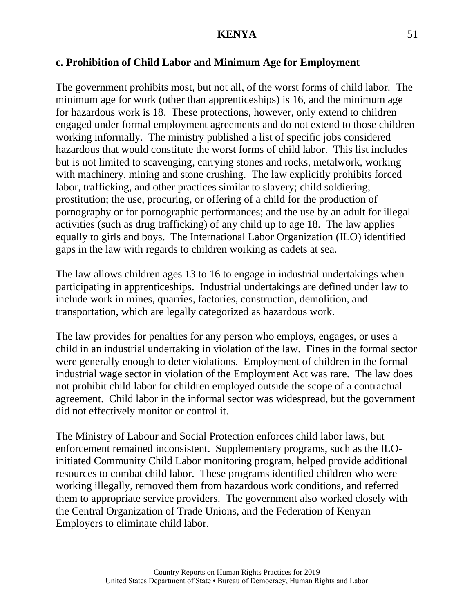#### **c. Prohibition of Child Labor and Minimum Age for Employment**

The government prohibits most, but not all, of the worst forms of child labor. The minimum age for work (other than apprenticeships) is 16, and the minimum age for hazardous work is 18. These protections, however, only extend to children engaged under formal employment agreements and do not extend to those children working informally. The ministry published a list of specific jobs considered hazardous that would constitute the worst forms of child labor. This list includes but is not limited to scavenging, carrying stones and rocks, metalwork, working with machinery, mining and stone crushing. The law explicitly prohibits forced labor, trafficking, and other practices similar to slavery; child soldiering; prostitution; the use, procuring, or offering of a child for the production of pornography or for pornographic performances; and the use by an adult for illegal activities (such as drug trafficking) of any child up to age 18. The law applies equally to girls and boys. The International Labor Organization (ILO) identified gaps in the law with regards to children working as cadets at sea.

The law allows children ages 13 to 16 to engage in industrial undertakings when participating in apprenticeships. Industrial undertakings are defined under law to include work in mines, quarries, factories, construction, demolition, and transportation, which are legally categorized as hazardous work.

The law provides for penalties for any person who employs, engages, or uses a child in an industrial undertaking in violation of the law. Fines in the formal sector were generally enough to deter violations. Employment of children in the formal industrial wage sector in violation of the Employment Act was rare. The law does not prohibit child labor for children employed outside the scope of a contractual agreement. Child labor in the informal sector was widespread, but the government did not effectively monitor or control it.

The Ministry of Labour and Social Protection enforces child labor laws, but enforcement remained inconsistent. Supplementary programs, such as the ILOinitiated Community Child Labor monitoring program, helped provide additional resources to combat child labor. These programs identified children who were working illegally, removed them from hazardous work conditions, and referred them to appropriate service providers. The government also worked closely with the Central Organization of Trade Unions, and the Federation of Kenyan Employers to eliminate child labor.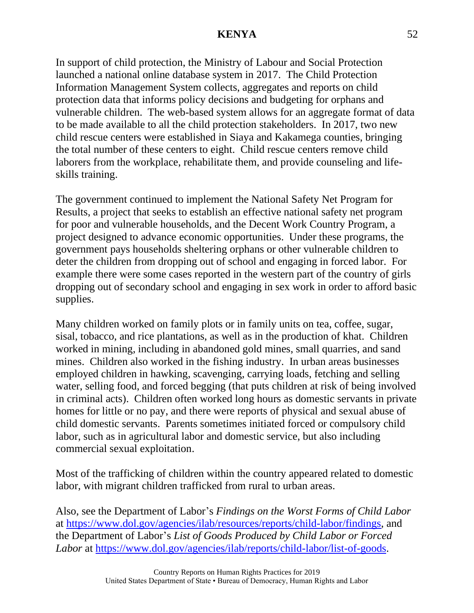In support of child protection, the Ministry of Labour and Social Protection launched a national online database system in 2017. The Child Protection Information Management System collects, aggregates and reports on child protection data that informs policy decisions and budgeting for orphans and vulnerable children. The web-based system allows for an aggregate format of data to be made available to all the child protection stakeholders. In 2017, two new child rescue centers were established in Siaya and Kakamega counties, bringing the total number of these centers to eight. Child rescue centers remove child laborers from the workplace, rehabilitate them, and provide counseling and lifeskills training.

The government continued to implement the National Safety Net Program for Results, a project that seeks to establish an effective national safety net program for poor and vulnerable households, and the Decent Work Country Program, a project designed to advance economic opportunities. Under these programs, the government pays households sheltering orphans or other vulnerable children to deter the children from dropping out of school and engaging in forced labor. For example there were some cases reported in the western part of the country of girls dropping out of secondary school and engaging in sex work in order to afford basic supplies.

Many children worked on family plots or in family units on tea, coffee, sugar, sisal, tobacco, and rice plantations, as well as in the production of khat. Children worked in mining, including in abandoned gold mines, small quarries, and sand mines. Children also worked in the fishing industry. In urban areas businesses employed children in hawking, scavenging, carrying loads, fetching and selling water, selling food, and forced begging (that puts children at risk of being involved in criminal acts). Children often worked long hours as domestic servants in private homes for little or no pay, and there were reports of physical and sexual abuse of child domestic servants. Parents sometimes initiated forced or compulsory child labor, such as in agricultural labor and domestic service, but also including commercial sexual exploitation.

Most of the trafficking of children within the country appeared related to domestic labor, with migrant children trafficked from rural to urban areas.

Also, see the Department of Labor's *Findings on the Worst Forms of Child Labor* at [https://www.dol.gov/agencies/ilab/resources/reports/child-labor/findings,](https://www.dol.gov/agencies/ilab/resources/reports/child-labor/findings) and the Department of Labor's *List of Goods Produced by Child Labor or Forced Labor* at [https://www.dol.gov/agencies/ilab/reports/child-labor/list-of-goods.](https://www.dol.gov/agencies/ilab/reports/child-labor/list-of-goods)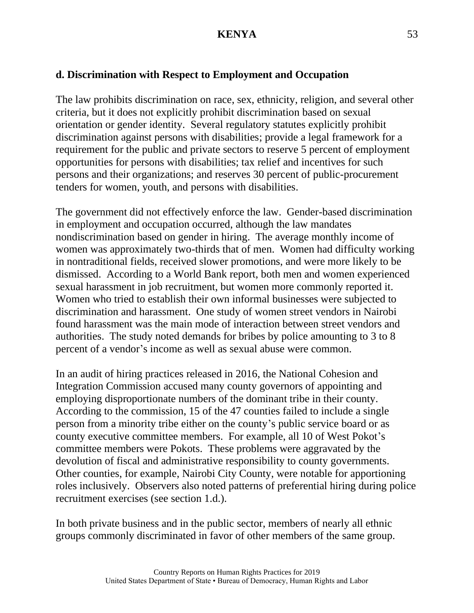# **d. Discrimination with Respect to Employment and Occupation**

The law prohibits discrimination on race, sex, ethnicity, religion, and several other criteria, but it does not explicitly prohibit discrimination based on sexual orientation or gender identity. Several regulatory statutes explicitly prohibit discrimination against persons with disabilities; provide a legal framework for a requirement for the public and private sectors to reserve 5 percent of employment opportunities for persons with disabilities; tax relief and incentives for such persons and their organizations; and reserves 30 percent of public-procurement tenders for women, youth, and persons with disabilities.

The government did not effectively enforce the law. Gender-based discrimination in employment and occupation occurred, although the law mandates nondiscrimination based on gender in hiring. The average monthly income of women was approximately two-thirds that of men. Women had difficulty working in nontraditional fields, received slower promotions, and were more likely to be dismissed. According to a World Bank report, both men and women experienced sexual harassment in job recruitment, but women more commonly reported it. Women who tried to establish their own informal businesses were subjected to discrimination and harassment. One study of women street vendors in Nairobi found harassment was the main mode of interaction between street vendors and authorities. The study noted demands for bribes by police amounting to 3 to 8 percent of a vendor's income as well as sexual abuse were common.

In an audit of hiring practices released in 2016, the National Cohesion and Integration Commission accused many county governors of appointing and employing disproportionate numbers of the dominant tribe in their county. According to the commission, 15 of the 47 counties failed to include a single person from a minority tribe either on the county's public service board or as county executive committee members. For example, all 10 of West Pokot's committee members were Pokots. These problems were aggravated by the devolution of fiscal and administrative responsibility to county governments. Other counties, for example, Nairobi City County, were notable for apportioning roles inclusively. Observers also noted patterns of preferential hiring during police recruitment exercises (see section 1.d.).

In both private business and in the public sector, members of nearly all ethnic groups commonly discriminated in favor of other members of the same group.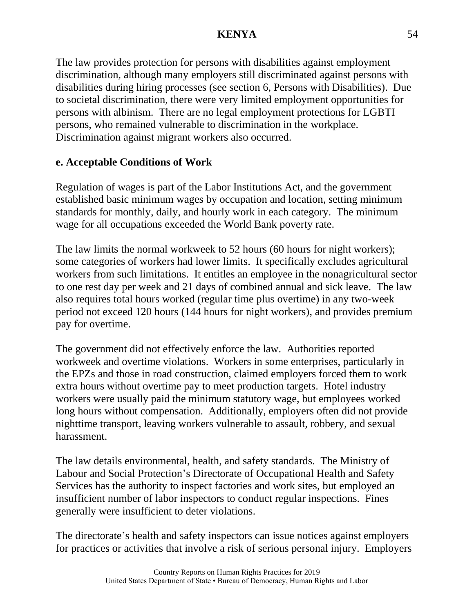The law provides protection for persons with disabilities against employment discrimination, although many employers still discriminated against persons with disabilities during hiring processes (see section 6, Persons with Disabilities). Due to societal discrimination, there were very limited employment opportunities for persons with albinism. There are no legal employment protections for LGBTI persons, who remained vulnerable to discrimination in the workplace. Discrimination against migrant workers also occurred.

# **e. Acceptable Conditions of Work**

Regulation of wages is part of the Labor Institutions Act, and the government established basic minimum wages by occupation and location, setting minimum standards for monthly, daily, and hourly work in each category. The minimum wage for all occupations exceeded the World Bank poverty rate.

The law limits the normal workweek to 52 hours (60 hours for night workers); some categories of workers had lower limits. It specifically excludes agricultural workers from such limitations. It entitles an employee in the nonagricultural sector to one rest day per week and 21 days of combined annual and sick leave. The law also requires total hours worked (regular time plus overtime) in any two-week period not exceed 120 hours (144 hours for night workers), and provides premium pay for overtime.

The government did not effectively enforce the law. Authorities reported workweek and overtime violations. Workers in some enterprises, particularly in the EPZs and those in road construction, claimed employers forced them to work extra hours without overtime pay to meet production targets. Hotel industry workers were usually paid the minimum statutory wage, but employees worked long hours without compensation. Additionally, employers often did not provide nighttime transport, leaving workers vulnerable to assault, robbery, and sexual harassment.

The law details environmental, health, and safety standards. The Ministry of Labour and Social Protection's Directorate of Occupational Health and Safety Services has the authority to inspect factories and work sites, but employed an insufficient number of labor inspectors to conduct regular inspections. Fines generally were insufficient to deter violations.

The directorate's health and safety inspectors can issue notices against employers for practices or activities that involve a risk of serious personal injury. Employers